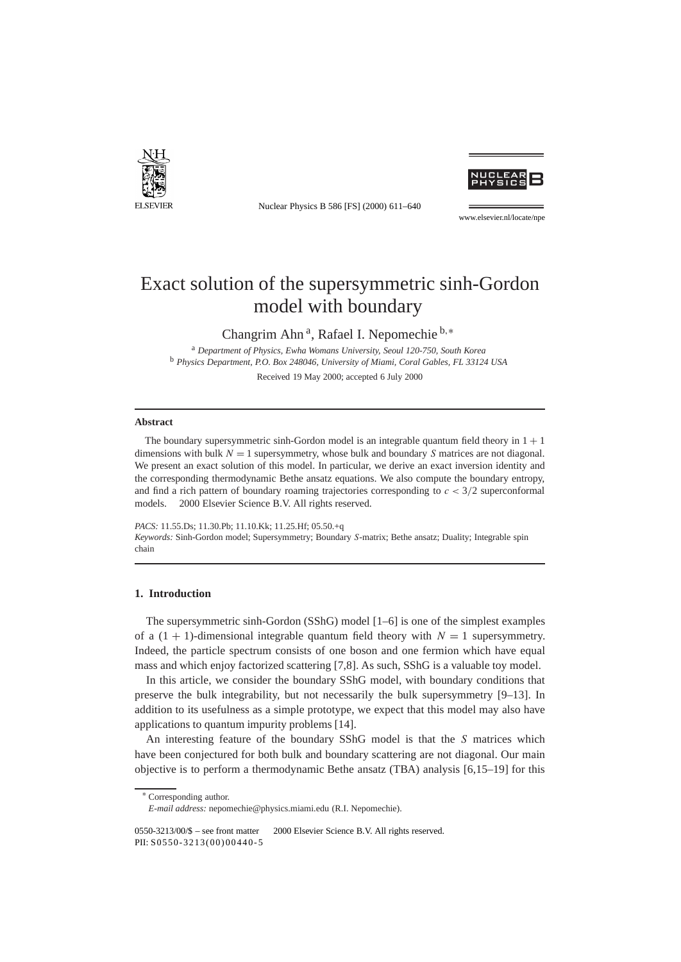

Nuclear Physics B 586 [FS] (2000) 611–640



www.elsevier.nl/locate/npe

# Exact solution of the supersymmetric sinh-Gordon model with boundary

Changrim Ahn a, Rafael I. Nepomechie <sup>b</sup>*,*<sup>∗</sup>

<sup>a</sup> *Department of Physics, Ewha Womans University, Seoul 120-750, South Korea* <sup>b</sup> *Physics Department, P.O. Box 248046, University of Miami, Coral Gables, FL 33124 USA*

Received 19 May 2000; accepted 6 July 2000

# **Abstract**

The boundary supersymmetric sinh-Gordon model is an integrable quantum field theory in  $1 + 1$ dimensions with bulk *N* = 1 supersymmetry, whose bulk and boundary *S* matrices are not diagonal. We present an exact solution of this model. In particular, we derive an exact inversion identity and the corresponding thermodynamic Bethe ansatz equations. We also compute the boundary entropy, and find a rich pattern of boundary roaming trajectories corresponding to *c <* 3*/*2 superconformal models.  $\odot$  2000 Elsevier Science B.V. All rights reserved.

*PACS:* 11.55.Ds; 11.30.Pb; 11.10.Kk; 11.25.Hf; 05.50.+q *Keywords:* Sinh-Gordon model; Supersymmetry; Boundary *S*-matrix; Bethe ansatz; Duality; Integrable spin chain

# **1. Introduction**

The supersymmetric sinh-Gordon (SShG) model [1–6] is one of the simplest examples of a  $(1 + 1)$ -dimensional integrable quantum field theory with  $N = 1$  supersymmetry. Indeed, the particle spectrum consists of one boson and one fermion which have equal mass and which enjoy factorized scattering [7,8]. As such, SShG is a valuable toy model.

In this article, we consider the boundary SShG model, with boundary conditions that preserve the bulk integrability, but not necessarily the bulk supersymmetry [9–13]. In addition to its usefulness as a simple prototype, we expect that this model may also have applications to quantum impurity problems [14].

An interesting feature of the boundary SShG model is that the *S* matrices which have been conjectured for both bulk and boundary scattering are not diagonal. Our main objective is to perform a thermodynamic Bethe ansatz (TBA) analysis [6,15–19] for this

<sup>∗</sup> Corresponding author.

*E-mail address:* nepomechie@physics.miami.edu (R.I. Nepomechie).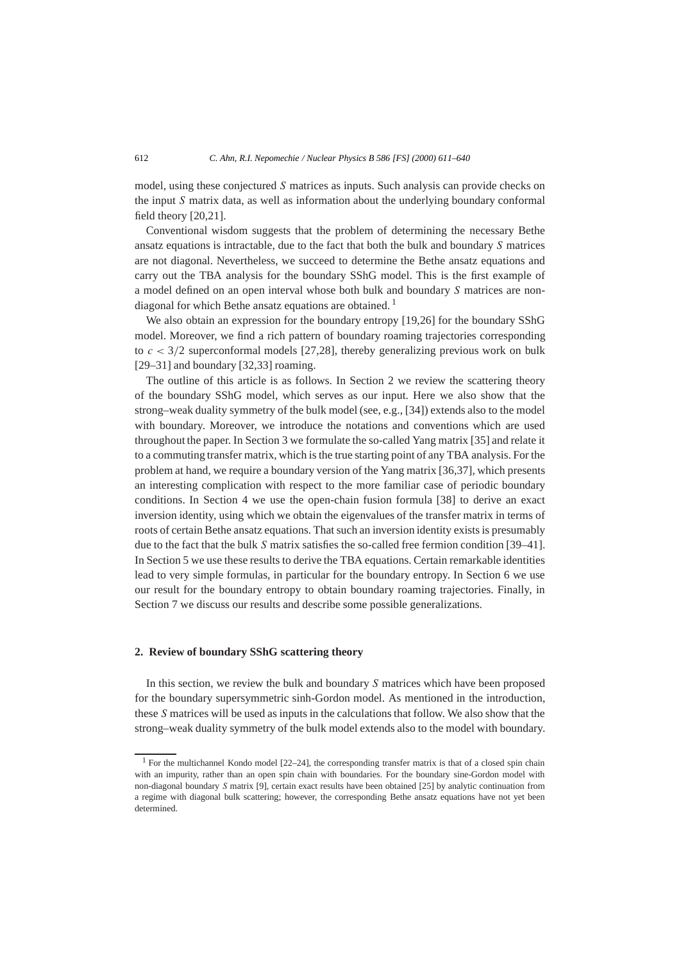model, using these conjectured *S* matrices as inputs. Such analysis can provide checks on the input *S* matrix data, as well as information about the underlying boundary conformal field theory [20,21].

Conventional wisdom suggests that the problem of determining the necessary Bethe ansatz equations is intractable, due to the fact that both the bulk and boundary *S* matrices are not diagonal. Nevertheless, we succeed to determine the Bethe ansatz equations and carry out the TBA analysis for the boundary SShG model. This is the first example of a model defined on an open interval whose both bulk and boundary *S* matrices are nondiagonal for which Bethe ansatz equations are obtained.  $\frac{1}{1}$ 

We also obtain an expression for the boundary entropy [19,26] for the boundary SShG model. Moreover, we find a rich pattern of boundary roaming trajectories corresponding to  $c < 3/2$  superconformal models [27,28], thereby generalizing previous work on bulk [29–31] and boundary [32,33] roaming.

The outline of this article is as follows. In Section 2 we review the scattering theory of the boundary SShG model, which serves as our input. Here we also show that the strong–weak duality symmetry of the bulk model (see, e.g., [34]) extends also to the model with boundary. Moreover, we introduce the notations and conventions which are used throughout the paper. In Section 3 we formulate the so-called Yang matrix [35] and relate it to a commuting transfer matrix, which is the true starting point of any TBA analysis. For the problem at hand, we require a boundary version of the Yang matrix [36,37], which presents an interesting complication with respect to the more familiar case of periodic boundary conditions. In Section 4 we use the open-chain fusion formula [38] to derive an exact inversion identity, using which we obtain the eigenvalues of the transfer matrix in terms of roots of certain Bethe ansatz equations. That such an inversion identity exists is presumably due to the fact that the bulk *S* matrix satisfies the so-called free fermion condition [39–41]. In Section 5 we use these results to derive the TBA equations. Certain remarkable identities lead to very simple formulas, in particular for the boundary entropy. In Section 6 we use our result for the boundary entropy to obtain boundary roaming trajectories. Finally, in Section 7 we discuss our results and describe some possible generalizations.

## **2. Review of boundary SShG scattering theory**

In this section, we review the bulk and boundary *S* matrices which have been proposed for the boundary supersymmetric sinh-Gordon model. As mentioned in the introduction, these *S* matrices will be used as inputs in the calculations that follow. We also show that the strong–weak duality symmetry of the bulk model extends also to the model with boundary.

<sup>1</sup> For the multichannel Kondo model [22–24], the corresponding transfer matrix is that of a closed spin chain with an impurity, rather than an open spin chain with boundaries. For the boundary sine-Gordon model with non-diagonal boundary *S* matrix [9], certain exact results have been obtained [25] by analytic continuation from a regime with diagonal bulk scattering; however, the corresponding Bethe ansatz equations have not yet been determined.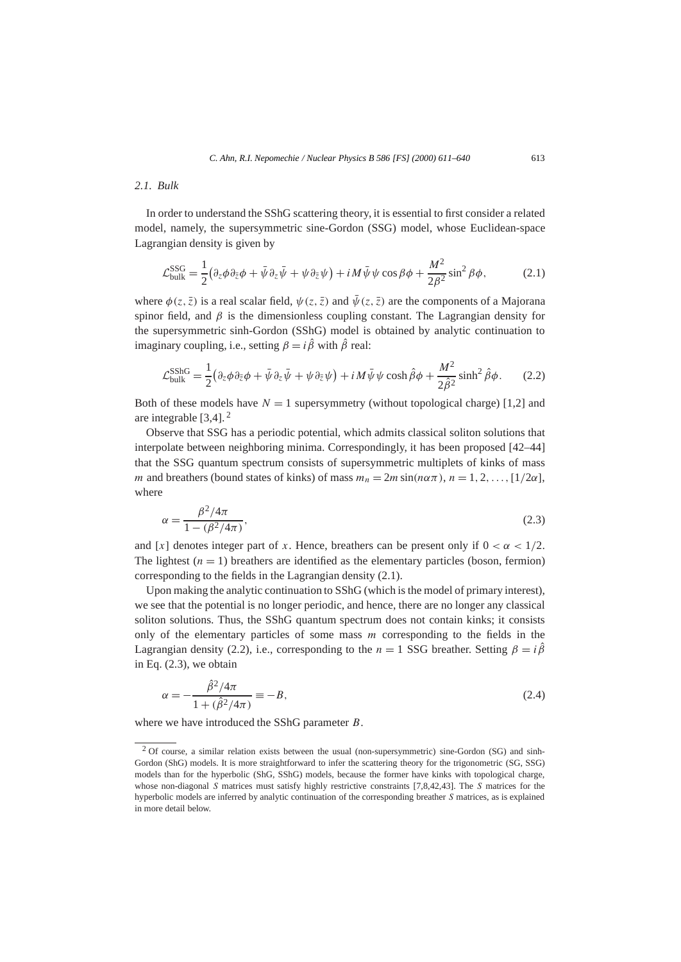# *2.1. Bulk*

In order to understand the SShG scattering theory, it is essential to first consider a related model, namely, the supersymmetric sine-Gordon (SSG) model, whose Euclidean-space Lagrangian density is given by

$$
\mathcal{L}_{\text{bulk}}^{\text{SSG}} = \frac{1}{2} \left( \partial_z \phi \partial_{\bar{z}} \phi + \bar{\psi} \partial_z \bar{\psi} + \psi \partial_{\bar{z}} \psi \right) + i M \bar{\psi} \psi \cos \beta \phi + \frac{M^2}{2\beta^2} \sin^2 \beta \phi, \tag{2.1}
$$

where  $\phi(z, \bar{z})$  is a real scalar field,  $\psi(z, \bar{z})$  and  $\bar{\psi}(z, \bar{z})$  are the components of a Majorana spinor field, and *β* is the dimensionless coupling constant. The Lagrangian density for the supersymmetric sinh-Gordon (SShG) model is obtained by analytic continuation to imaginary coupling, i.e., setting  $\beta = i\hat{\beta}$  with  $\hat{\beta}$  real:

$$
\mathcal{L}_{\text{bulk}}^{\text{SShG}} = \frac{1}{2} \left( \partial_z \phi \partial_{\bar{z}} \phi + \bar{\psi} \partial_z \bar{\psi} + \psi \partial_{\bar{z}} \psi \right) + i M \bar{\psi} \psi \cosh \hat{\beta} \phi + \frac{M^2}{2 \hat{\beta}^2} \sinh^2 \hat{\beta} \phi. \tag{2.2}
$$

Both of these models have  $N = 1$  supersymmetry (without topological charge) [1,2] and are integrable [3,4]. <sup>2</sup>

Observe that SSG has a periodic potential, which admits classical soliton solutions that interpolate between neighboring minima. Correspondingly, it has been proposed [42–44] that the SSG quantum spectrum consists of supersymmetric multiplets of kinks of mass *m* and breathers (bound states of kinks) of mass  $m_n = 2m \sin(n\alpha \pi)$ ,  $n = 1, 2, \ldots, [1/2\alpha]$ , where

$$
\alpha = \frac{\beta^2 / 4\pi}{1 - (\beta^2 / 4\pi)},
$$
\n(2.3)

and [*x*] denotes integer part of *x*. Hence, breathers can be present only if  $0 < \alpha < 1/2$ . The lightest  $(n = 1)$  breathers are identified as the elementary particles (boson, fermion) corresponding to the fields in the Lagrangian density (2.1).

Upon making the analytic continuation to SShG (which is the model of primary interest), we see that the potential is no longer periodic, and hence, there are no longer any classical soliton solutions. Thus, the SShG quantum spectrum does not contain kinks; it consists only of the elementary particles of some mass *m* corresponding to the fields in the Lagrangian density (2.2), i.e., corresponding to the  $n = 1$  SSG breather. Setting  $\beta = i\hat{\beta}$ in Eq. (2.3), we obtain

$$
\alpha = -\frac{\hat{\beta}^2 / 4\pi}{1 + (\hat{\beta}^2 / 4\pi)} \equiv -B,\tag{2.4}
$$

where we have introduced the SShG parameter *B*.

<sup>2</sup> Of course, a similar relation exists between the usual (non-supersymmetric) sine-Gordon (SG) and sinh-Gordon (ShG) models. It is more straightforward to infer the scattering theory for the trigonometric (SG, SSG) models than for the hyperbolic (ShG, SShG) models, because the former have kinks with topological charge, whose non-diagonal *S* matrices must satisfy highly restrictive constraints [7,8,42,43]. The *S* matrices for the hyperbolic models are inferred by analytic continuation of the corresponding breather *S* matrices, as is explained in more detail below.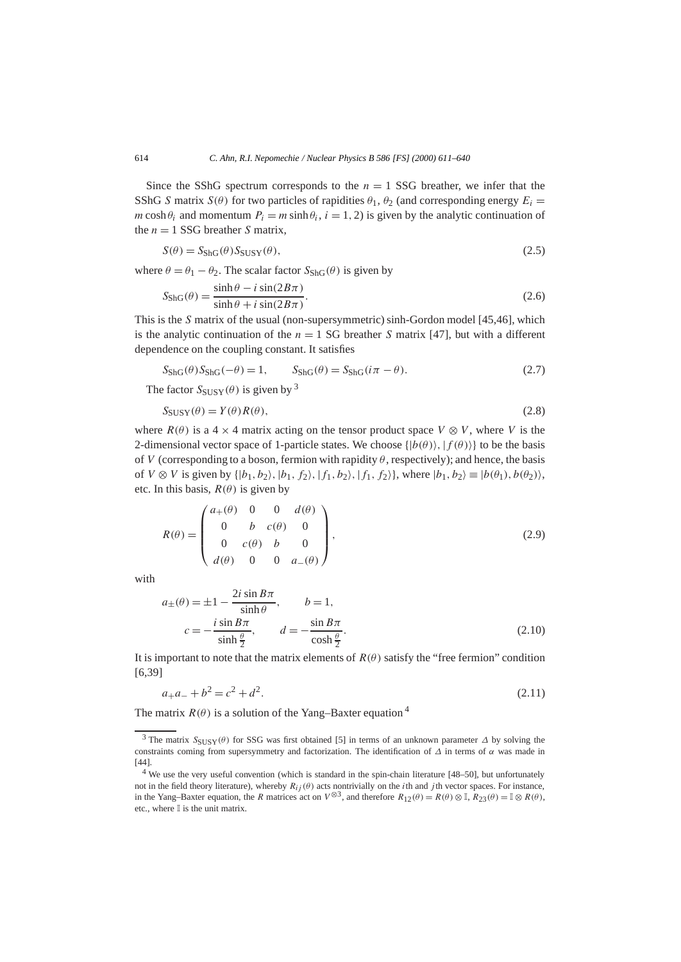Since the SShG spectrum corresponds to the  $n = 1$  SSG breather, we infer that the SShG *S* matrix  $S(\theta)$  for two particles of rapidities  $\theta_1$ ,  $\theta_2$  (and corresponding energy  $E_i$  = *m* cosh  $\theta_i$  and momentum  $P_i = m \sinh \theta_i$ ,  $i = 1, 2$ ) is given by the analytic continuation of the  $n = 1$  SSG breather *S* matrix.

$$
S(\theta) = S_{\text{ShG}}(\theta) S_{\text{SUSY}}(\theta), \tag{2.5}
$$

where  $\theta = \theta_1 - \theta_2$ . The scalar factor  $S_{\text{ShG}}(\theta)$  is given by

$$
S_{\text{ShG}}(\theta) = \frac{\sinh \theta - i \sin(2B\pi)}{\sinh \theta + i \sin(2B\pi)}.
$$
\n(2.6)

This is the *S* matrix of the usual (non-supersymmetric) sinh-Gordon model [45,46], which is the analytic continuation of the  $n = 1$  SG breather *S* matrix [47], but with a different dependence on the coupling constant. It satisfies

$$
S_{\text{ShG}}(\theta)S_{\text{ShG}}(-\theta) = 1, \qquad S_{\text{ShG}}(\theta) = S_{\text{ShG}}(i\pi - \theta). \tag{2.7}
$$

The factor  $S_{SUSY}(\theta)$  is given by <sup>3</sup>

$$
S_{\text{SUSY}}(\theta) = Y(\theta)R(\theta),\tag{2.8}
$$

where  $R(\theta)$  is a 4 × 4 matrix acting on the tensor product space  $V \otimes V$ , where *V* is the 2-dimensional vector space of 1-particle states. We choose  $\{|b(\theta)\rangle, |f(\theta)\rangle\}$  to be the basis of *V* (corresponding to a boson, fermion with rapidity  $\theta$ , respectively); and hence, the basis of *V* ⊗ *V* is given by  $\{|b_1, b_2\rangle, |b_1, f_2\rangle, |f_1, b_2\rangle, |f_1, f_2\rangle\}$ , where  $|b_1, b_2\rangle \equiv |b(\theta_1), b(\theta_2)\rangle$ , etc. In this basis,  $R(\theta)$  is given by

$$
R(\theta) = \begin{pmatrix} a_{+}(\theta) & 0 & 0 & d(\theta) \\ 0 & b & c(\theta) & 0 \\ 0 & c(\theta) & b & 0 \\ d(\theta) & 0 & 0 & a_{-}(\theta) \end{pmatrix},
$$
(2.9)

with

$$
a_{\pm}(\theta) = \pm 1 - \frac{2i \sin B\pi}{\sinh \theta}, \qquad b = 1,
$$
  

$$
c = -\frac{i \sin B\pi}{\sinh \frac{\theta}{2}}, \qquad d = -\frac{\sin B\pi}{\cosh \frac{\theta}{2}}.
$$
 (2.10)

It is important to note that the matrix elements of  $R(\theta)$  satisfy the "free fermion" condition [6,39]

$$
a_+a_- + b^2 = c^2 + d^2. \tag{2.11}
$$

The matrix  $R(\theta)$  is a solution of the Yang–Baxter equation <sup>4</sup>

<sup>3</sup> The matrix *S*SUSY*(θ )* for SSG was first obtained [5] in terms of an unknown parameter *∆* by solving the constraints coming from supersymmetry and factorization. The identification of *∆* in terms of *α* was made in [44].

<sup>&</sup>lt;sup>4</sup> We use the very useful convention (which is standard in the spin-chain literature [48–50], but unfortunately not in the field theory literature), whereby  $R_{ij}(\theta)$  acts nontrivially on the *i*th and *j* th vector spaces. For instance, in the Yang–Baxter equation, the *R* matrices act on  $V^{\otimes 3}$ , and therefore  $R_{12}(\theta) = R(\theta) \otimes \mathbb{I}$ ,  $R_{23}(\theta) = \mathbb{I} \otimes R(\theta)$ , etc., where  $\mathbb I$  is the unit matrix.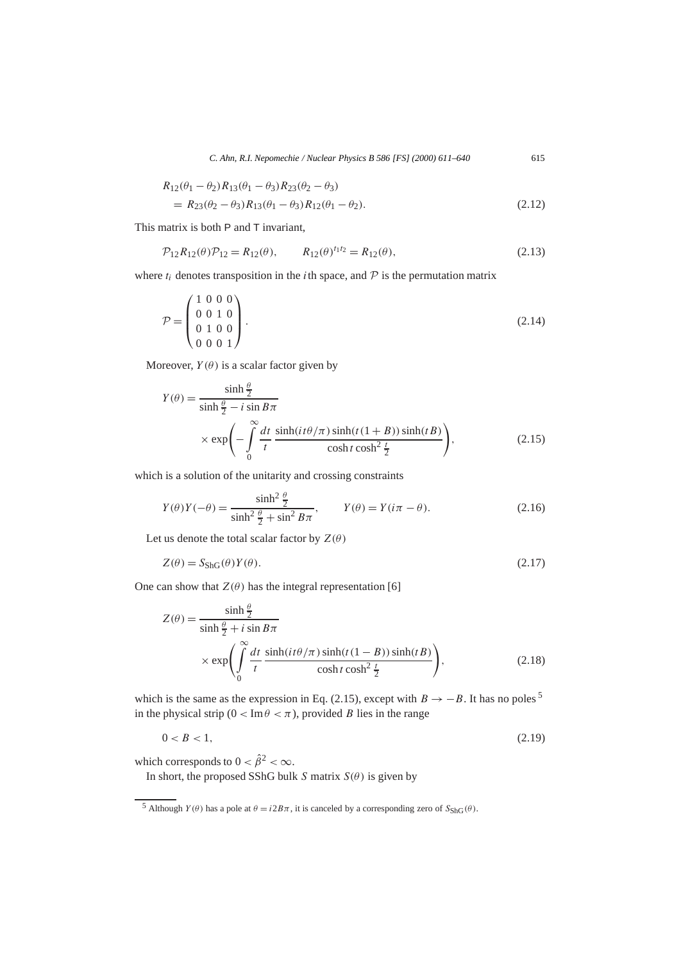$$
R_{12}(\theta_1 - \theta_2) R_{13}(\theta_1 - \theta_3) R_{23}(\theta_2 - \theta_3)
$$
  
=  $R_{23}(\theta_2 - \theta_3) R_{13}(\theta_1 - \theta_3) R_{12}(\theta_1 - \theta_2).$  (2.12)

This matrix is both P and T invariant,

$$
\mathcal{P}_{12}R_{12}(\theta)\mathcal{P}_{12} = R_{12}(\theta), \qquad R_{12}(\theta)^{t_1 t_2} = R_{12}(\theta), \tag{2.13}
$$

where  $t_i$  denotes transposition in the *i*th space, and  $P$  is the permutation matrix

$$
\mathcal{P} = \begin{pmatrix} 1 & 0 & 0 & 0 \\ 0 & 0 & 1 & 0 \\ 0 & 1 & 0 & 0 \\ 0 & 0 & 0 & 1 \end{pmatrix} . \tag{2.14}
$$

Moreover,  $Y(\theta)$  is a scalar factor given by

$$
Y(\theta) = \frac{\sinh\frac{\theta}{2}}{\sinh\frac{\theta}{2} - i\sin B\pi}
$$
  
 
$$
\times \exp\left(-\int_{0}^{\infty} \frac{dt}{t} \frac{\sinh(it\theta/\pi)\sinh(t(1+B))\sinh(tB)}{\cosh t \cosh^2\frac{t}{2}}\right),
$$
 (2.15)

which is a solution of the unitarity and crossing constraints

$$
Y(\theta)Y(-\theta) = \frac{\sinh^2\frac{\theta}{2}}{\sinh^2\frac{\theta}{2} + \sin^2 B\pi}, \qquad Y(\theta) = Y(i\pi - \theta). \tag{2.16}
$$

Let us denote the total scalar factor by  $Z(\theta)$ 

$$
Z(\theta) = S_{\text{ShG}}(\theta)Y(\theta). \tag{2.17}
$$

One can show that  $Z(\theta)$  has the integral representation [6]

$$
Z(\theta) = \frac{\sinh\frac{\theta}{2}}{\sinh\frac{\theta}{2} + i\sin B\pi}
$$
  
 
$$
\times \exp\left(\int_{0}^{\infty} \frac{dt}{t} \frac{\sinh(it\theta/\pi)\sinh(t(1-B))\sinh(tB)}{\cosh t\cosh^2\frac{t}{2}}\right),
$$
 (2.18)

which is the same as the expression in Eq. (2.15), except with  $B \rightarrow -B$ . It has no poles<sup>5</sup> in the physical strip ( $0 < Im \theta < \pi$ ), provided *B* lies in the range

$$
0 < B < 1,\tag{2.19}
$$

which corresponds to  $0 < \hat{\beta}^2 < \infty$ .

In short, the proposed SShG bulk *S* matrix  $S(\theta)$  is given by

<sup>&</sup>lt;sup>5</sup> Although *Y*(*θ*) has a pole at  $θ = i2Bπ$ , it is canceled by a corresponding zero of  $S_{\text{ShG}}(θ)$ .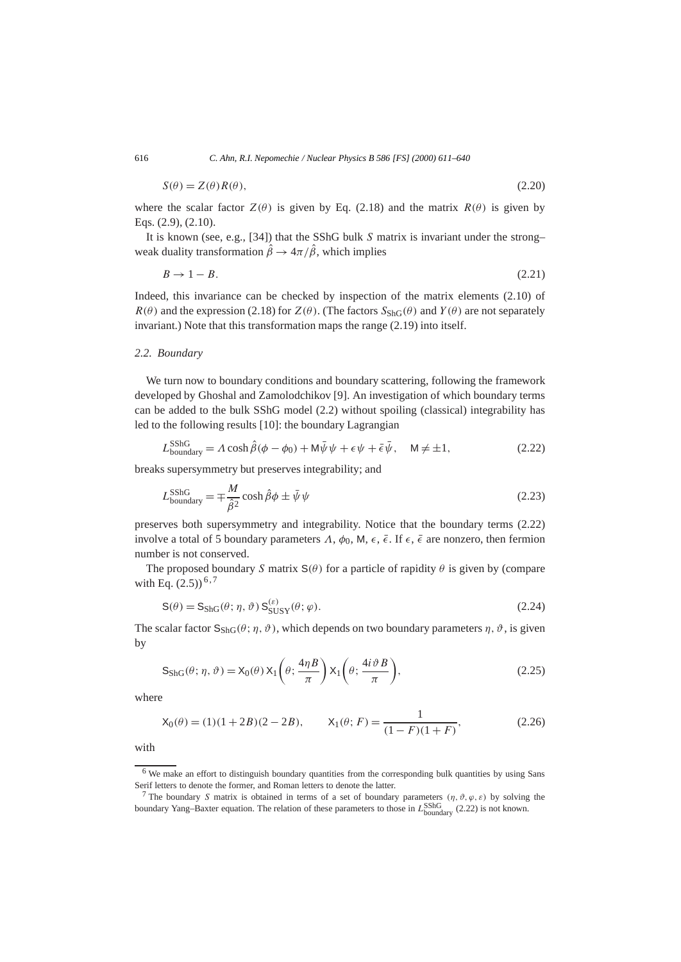$$
S(\theta) = Z(\theta)R(\theta),\tag{2.20}
$$

where the scalar factor  $Z(\theta)$  is given by Eq. (2.18) and the matrix  $R(\theta)$  is given by Eqs. (2.9), (2.10).

It is known (see, e.g., [34]) that the SShG bulk *S* matrix is invariant under the strong– weak duality transformation  $\hat{\beta} \rightarrow 4\pi/\hat{\beta}$ , which implies

$$
B \to 1 - B. \tag{2.21}
$$

Indeed, this invariance can be checked by inspection of the matrix elements (2.10) of  $R(\theta)$  and the expression (2.18) for  $Z(\theta)$ . (The factors  $S_{\text{ShG}}(\theta)$  and  $Y(\theta)$  are not separately invariant.) Note that this transformation maps the range (2.19) into itself.

# *2.2. Boundary*

We turn now to boundary conditions and boundary scattering, following the framework developed by Ghoshal and Zamolodchikov [9]. An investigation of which boundary terms can be added to the bulk SShG model (2.2) without spoiling (classical) integrability has led to the following results [10]: the boundary Lagrangian

$$
L_{\text{boundary}}^{\text{SShG}} = \Lambda \cosh \hat{\beta} (\phi - \phi_0) + \mathsf{M}\bar{\psi} \psi + \epsilon \psi + \bar{\epsilon} \bar{\psi}, \quad \mathsf{M} \neq \pm 1, \tag{2.22}
$$

breaks supersymmetry but preserves integrability; and

$$
L_{\text{boundary}}^{\text{SShG}} = \mp \frac{M}{\hat{\beta}^2} \cosh \hat{\beta} \phi \pm \bar{\psi} \psi \tag{2.23}
$$

preserves both supersymmetry and integrability. Notice that the boundary terms (2.22) involve a total of 5 boundary parameters  $Λ$ ,  $φ_0$ , M,  $ε$ ,  $ε$ . If  $ε$ ,  $ε$  are nonzero, then fermion number is not conserved.

The proposed boundary *S* matrix  $S(\theta)$  for a particle of rapidity  $\theta$  is given by (compare with Eq.  $(2.5)$ )<sup>6,7</sup>

$$
S(\theta) = S_{\text{ShG}}(\theta; \eta, \vartheta) S_{\text{SUSY}}^{(\varepsilon)}(\theta; \varphi).
$$
\n(2.24)

The scalar factor  $S_{\text{ShG}}(\theta; \eta, \vartheta)$ , which depends on two boundary parameters  $\eta$ ,  $\vartheta$ , is given by

$$
S_{\rm ShG}(\theta; \eta, \vartheta) = X_0(\theta) X_1\left(\theta; \frac{4\eta B}{\pi}\right) X_1\left(\theta; \frac{4i \vartheta B}{\pi}\right), \tag{2.25}
$$

where

$$
X_0(\theta) = (1)(1+2B)(2-2B), \qquad X_1(\theta; F) = \frac{1}{(1-F)(1+F)}, \tag{2.26}
$$

with

<sup>&</sup>lt;sup>6</sup> We make an effort to distinguish boundary quantities from the corresponding bulk quantities by using Sans Serif letters to denote the former, and Roman letters to denote the latter.

<sup>&</sup>lt;sup>7</sup> The boundary *S* matrix is obtained in terms of a set of boundary parameters  $(\eta, \vartheta, \varphi, \varepsilon)$  by solving the boundary Yang–Baxter equation. The relation of these parameters to those in *L*<sub>boundary</sub> (2.22) is not known.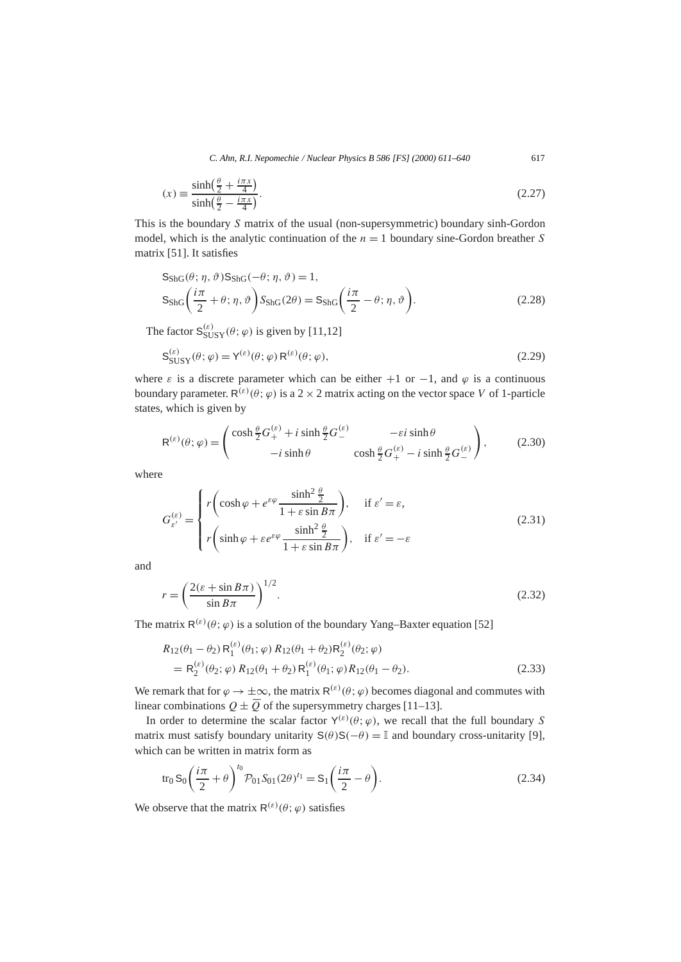$$
(x) \equiv \frac{\sinh\left(\frac{\theta}{2} + \frac{i\pi x}{4}\right)}{\sinh\left(\frac{\theta}{2} - \frac{i\pi x}{4}\right)}.\tag{2.27}
$$

This is the boundary *S* matrix of the usual (non-supersymmetric) boundary sinh-Gordon model, which is the analytic continuation of the *n* = 1 boundary sine-Gordon breather *S* matrix [51]. It satisfies

$$
S_{\rm ShG}(\theta; \eta, \vartheta) S_{\rm ShG}(-\theta; \eta, \vartheta) = 1,
$$
  
\n
$$
S_{\rm ShG}\left(\frac{i\pi}{2} + \theta; \eta, \vartheta\right) S_{\rm ShG}(2\theta) = S_{\rm ShG}\left(\frac{i\pi}{2} - \theta; \eta, \vartheta\right).
$$
\n(2.28)

The factor  $S_{SUSY}^{(\varepsilon)}(\theta; \varphi)$  is given by [11,12]

$$
\mathbf{S}_{\text{SUSY}}^{(\varepsilon)}(\theta; \varphi) = \mathbf{Y}^{(\varepsilon)}(\theta; \varphi) \mathbf{R}^{(\varepsilon)}(\theta; \varphi), \tag{2.29}
$$

where  $\varepsilon$  is a discrete parameter which can be either  $+1$  or  $-1$ , and  $\varphi$  is a continuous boundary parameter.  $R^{(\varepsilon)}(\theta; \varphi)$  is a 2 × 2 matrix acting on the vector space *V* of 1-particle states, which is given by

$$
\mathsf{R}^{(\varepsilon)}(\theta;\varphi) = \begin{pmatrix} \cosh\frac{\theta}{2}G_{+}^{(\varepsilon)} + i\sinh\frac{\theta}{2}G_{-}^{(\varepsilon)} & -\varepsilon i\sinh\theta \\ -i\sinh\theta & \cosh\frac{\theta}{2}G_{+}^{(\varepsilon)} - i\sinh\frac{\theta}{2}G_{-}^{(\varepsilon)} \end{pmatrix},\tag{2.30}
$$

where

$$
G_{\varepsilon'}^{(\varepsilon)} = \begin{cases} r \left( \cosh \varphi + e^{\varepsilon \varphi} \frac{\sinh^2 \frac{\theta}{2}}{1 + \varepsilon \sin B \pi} \right), & \text{if } \varepsilon' = \varepsilon, \\ r \left( \sinh \varphi + \varepsilon e^{\varepsilon \varphi} \frac{\sinh^2 \frac{\theta}{2}}{1 + \varepsilon \sin B \pi} \right), & \text{if } \varepsilon' = -\varepsilon \end{cases}
$$
(2.31)

and

$$
r = \left(\frac{2(\varepsilon + \sin B\pi)}{\sin B\pi}\right)^{1/2}.\tag{2.32}
$$

The matrix  $R^{(\varepsilon)}(\theta; \varphi)$  is a solution of the boundary Yang–Baxter equation [52]

$$
R_{12}(\theta_1 - \theta_2) R_1^{(\varepsilon)}(\theta_1; \varphi) R_{12}(\theta_1 + \theta_2) R_2^{(\varepsilon)}(\theta_2; \varphi)
$$
  
=  $R_2^{(\varepsilon)}(\theta_2; \varphi) R_{12}(\theta_1 + \theta_2) R_1^{(\varepsilon)}(\theta_1; \varphi) R_{12}(\theta_1 - \theta_2).$  (2.33)

We remark that for  $\varphi \to \pm \infty$ , the matrix  $R^{(\varepsilon)}(\theta; \varphi)$  becomes diagonal and commutes with linear combinations  $Q \pm \overline{Q}$  of the supersymmetry charges [11–13].

In order to determine the scalar factor  $Y^{(\varepsilon)}(\theta; \varphi)$ , we recall that the full boundary *S* matrix must satisfy boundary unitarity  $S(\theta)S(-\theta) = \mathbb{I}$  and boundary cross-unitarity [9], which can be written in matrix form as

$$
\operatorname{tr}_0 S_0 \left( \frac{i\pi}{2} + \theta \right)^{t_0} \mathcal{P}_{01} S_{01} (2\theta)^{t_1} = S_1 \left( \frac{i\pi}{2} - \theta \right). \tag{2.34}
$$

We observe that the matrix  $R^{(\varepsilon)}(\theta; \varphi)$  satisfies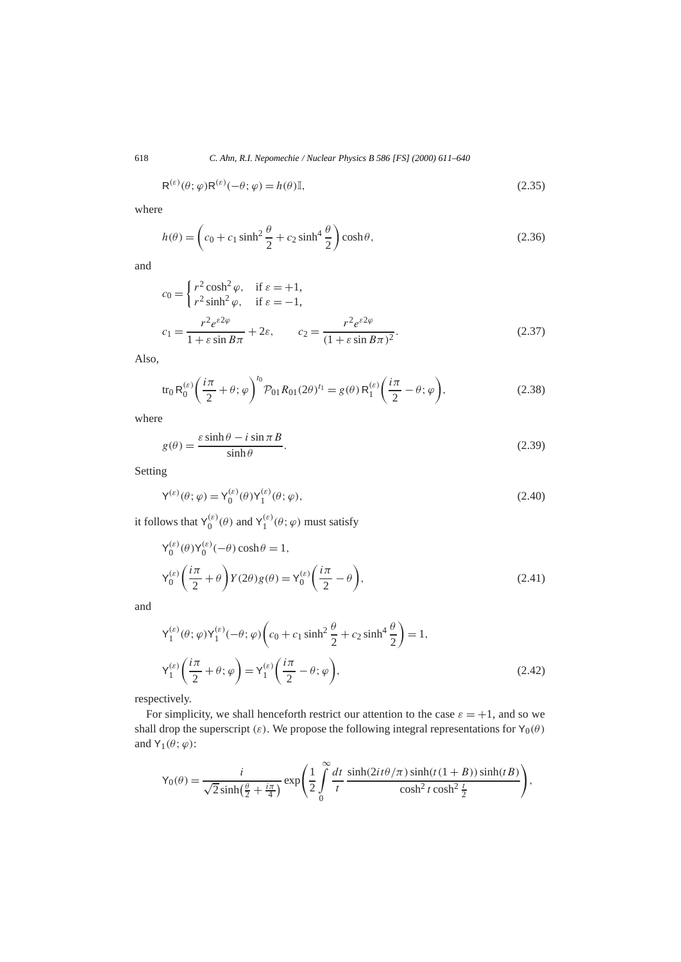$$
\mathsf{R}^{(\varepsilon)}(\theta; \varphi) \mathsf{R}^{(\varepsilon)}(-\theta; \varphi) = h(\theta) \mathbb{I},\tag{2.35}
$$

where

$$
h(\theta) = \left(c_0 + c_1 \sinh^2 \frac{\theta}{2} + c_2 \sinh^4 \frac{\theta}{2}\right) \cosh \theta, \tag{2.36}
$$

and

$$
c_0 = \begin{cases} r^2 \cosh^2 \varphi, & \text{if } \varepsilon = +1, \\ r^2 \sinh^2 \varphi, & \text{if } \varepsilon = -1, \end{cases}
$$
  

$$
c_1 = \frac{r^2 e^{\varepsilon 2\varphi}}{1 + \varepsilon \sin B\pi} + 2\varepsilon, \qquad c_2 = \frac{r^2 e^{\varepsilon 2\varphi}}{(1 + \varepsilon \sin B\pi)^2}.
$$
 (2.37)

Also,

$$
\text{tr}_0 \, \text{R}_0^{(\varepsilon)} \bigg( \frac{i\pi}{2} + \theta; \, \varphi \bigg)^{t_0} \mathcal{P}_{01} \, R_{01} (2\theta)^{t_1} = g(\theta) \, \text{R}_1^{(\varepsilon)} \bigg( \frac{i\pi}{2} - \theta; \, \varphi \bigg),\tag{2.38}
$$

where

$$
g(\theta) = \frac{\varepsilon \sinh \theta - i \sin \pi B}{\sinh \theta}.
$$
 (2.39)

Setting

$$
\mathsf{Y}^{(\varepsilon)}(\theta;\varphi) = \mathsf{Y}_0^{(\varepsilon)}(\theta)\mathsf{Y}_1^{(\varepsilon)}(\theta;\varphi),\tag{2.40}
$$

it follows that  $Y_0^{(\varepsilon)}(\theta)$  and  $Y_1^{(\varepsilon)}(\theta; \varphi)$  must satisfy

$$
Y_0^{(\varepsilon)}(\theta)Y_0^{(\varepsilon)}(-\theta)\cosh\theta = 1,
$$
  
\n
$$
Y_0^{(\varepsilon)}\left(\frac{i\pi}{2} + \theta\right)Y(2\theta)g(\theta) = Y_0^{(\varepsilon)}\left(\frac{i\pi}{2} - \theta\right),
$$
\n(2.41)

and

$$
\mathsf{Y}_{1}^{(\varepsilon)}(\theta; \varphi) \mathsf{Y}_{1}^{(\varepsilon)}(-\theta; \varphi) \left( c_{0} + c_{1} \sinh^{2} \frac{\theta}{2} + c_{2} \sinh^{4} \frac{\theta}{2} \right) = 1,
$$
\n
$$
\mathsf{Y}_{1}^{(\varepsilon)} \left( \frac{i\pi}{2} + \theta; \varphi \right) = \mathsf{Y}_{1}^{(\varepsilon)} \left( \frac{i\pi}{2} - \theta; \varphi \right), \tag{2.42}
$$

respectively.

For simplicity, we shall henceforth restrict our attention to the case  $\varepsilon = +1$ , and so we shall drop the superscript  $(\varepsilon)$ . We propose the following integral representations for Y<sub>0</sub> $(\theta)$ and  $Y_1(\theta; \varphi)$ :

$$
\mathsf{Y}_0(\theta) = \frac{i}{\sqrt{2}\sinh\left(\frac{\theta}{2} + \frac{i\pi}{4}\right)} \exp\left(\frac{1}{2}\int_0^\infty \frac{dt}{t} \frac{\sinh(2it\theta/\pi)\sinh(t(1+B))\sinh(tB)}{\cosh^2 t \cosh^2 \frac{t}{2}}\right),
$$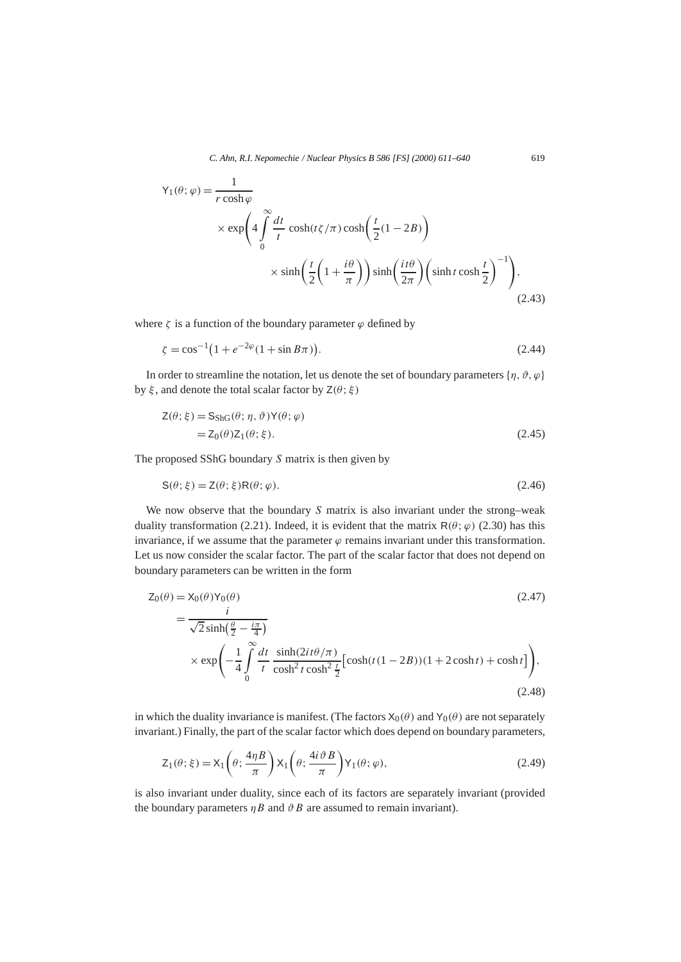$$
Y_1(\theta; \varphi) = \frac{1}{r \cosh \varphi}
$$
  
 
$$
\times \exp\left(4 \int_0^\infty \frac{dt}{t} \cosh(t\zeta/\pi) \cosh\left(\frac{t}{2}(1-2B)\right)\right)
$$
  
 
$$
\times \sinh\left(\frac{t}{2}\left(1+\frac{i\theta}{\pi}\right)\right) \sinh\left(\frac{it\theta}{2\pi}\right) \left(\sinh t \cosh \frac{t}{2}\right)^{-1}\right), \tag{2.43}
$$

where  $\zeta$  is a function of the boundary parameter  $\varphi$  defined by

$$
\zeta = \cos^{-1}(1 + e^{-2\varphi}(1 + \sin B\pi)).\tag{2.44}
$$

In order to streamline the notation, let us denote the set of boundary parameters  $\{\eta, \vartheta, \varphi\}$ by *ξ* , and denote the total scalar factor by Z*(θ*; *ξ )*

$$
Z(\theta; \xi) = S_{\text{ShG}}(\theta; \eta, \vartheta) Y(\theta; \varphi)
$$
  
= Z<sub>0</sub>( $\theta$ )Z<sub>1</sub>( $\theta$ ;  $\xi$ ). (2.45)

The proposed SShG boundary *S* matrix is then given by

$$
S(\theta; \xi) = Z(\theta; \xi)R(\theta; \varphi). \tag{2.46}
$$

We now observe that the boundary *S* matrix is also invariant under the strong–weak duality transformation (2.21). Indeed, it is evident that the matrix  $R(\theta; \varphi)$  (2.30) has this invariance, if we assume that the parameter  $\varphi$  remains invariant under this transformation. Let us now consider the scalar factor. The part of the scalar factor that does not depend on boundary parameters can be written in the form

$$
Z_0(\theta) = X_0(\theta)Y_0(\theta)
$$
\n
$$
= \frac{i}{\sqrt{2}\sinh(\frac{\theta}{2} - \frac{i\pi}{4})}
$$
\n
$$
\times \exp\left(-\frac{1}{4}\int_0^\infty \frac{dt}{t} \frac{\sinh(2it\theta/\pi)}{\cosh^2 t \cosh^2 \frac{t}{2}} [\cosh(t(1-2B))(1+2\cosh t) + \cosh t] \right),
$$
\n(2.48)

in which the duality invariance is manifest. (The factors  $X_0(\theta)$  and  $Y_0(\theta)$  are not separately invariant.) Finally, the part of the scalar factor which does depend on boundary parameters,

$$
Z_1(\theta; \xi) = X_1\left(\theta; \frac{4\eta B}{\pi}\right) X_1\left(\theta; \frac{4i\vartheta B}{\pi}\right) Y_1(\theta; \varphi), \tag{2.49}
$$

is also invariant under duality, since each of its factors are separately invariant (provided the boundary parameters  $\eta B$  and  $\vartheta B$  are assumed to remain invariant).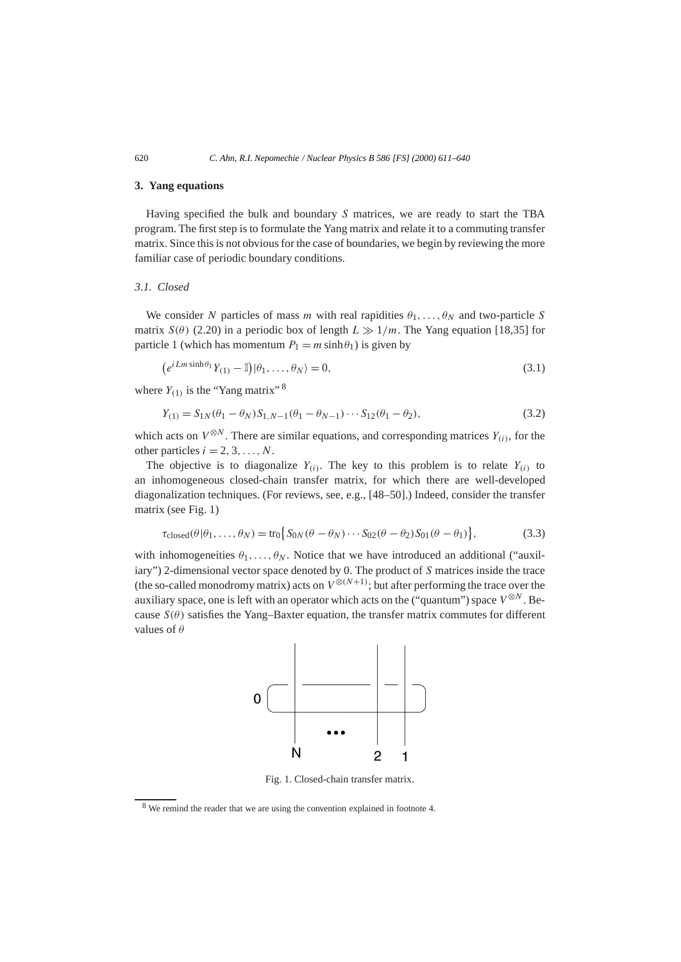#### **3. Yang equations**

Having specified the bulk and boundary *S* matrices, we are ready to start the TBA program. The first step is to formulate the Yang matrix and relate it to a commuting transfer matrix. Since this is not obvious for the case of boundaries, we begin by reviewing the more familiar case of periodic boundary conditions.

# *3.1. Closed*

We consider *N* particles of mass *m* with real rapidities  $\theta_1, \ldots, \theta_N$  and two-particle *S* matrix *S(* $\theta$ *)* (2.20) in a periodic box of length  $L \gg 1/m$ . The Yang equation [18,35] for particle 1 (which has momentum  $P_1 = m \sinh \theta_1$ ) is given by

$$
(e^{iLm\sinh\theta_1}Y_{(1)} - \mathbb{I})|\theta_1,\ldots,\theta_N\rangle = 0,
$$
\n(3.1)

where  $Y_{(1)}$  is the "Yang matrix" 8

$$
Y_{(1)} = S_{1N}(\theta_1 - \theta_N) S_{1,N-1}(\theta_1 - \theta_{N-1}) \cdots S_{12}(\theta_1 - \theta_2),
$$
\n(3.2)

which acts on  $V^{\otimes N}$ . There are similar equations, and corresponding matrices  $Y_{(i)}$ , for the other particles  $i = 2, 3, \ldots, N$ .

The objective is to diagonalize  $Y_{(i)}$ . The key to this problem is to relate  $Y_{(i)}$  to an inhomogeneous closed-chain transfer matrix, for which there are well-developed diagonalization techniques. (For reviews, see, e.g., [48–50].) Indeed, consider the transfer matrix (see Fig. 1)

$$
\tau_{\text{closed}}(\theta|\theta_1,\ldots,\theta_N) = \text{tr}_0\big\{S_{0N}(\theta-\theta_N)\cdots S_{02}(\theta-\theta_2)S_{01}(\theta-\theta_1)\big\},\tag{3.3}
$$

with inhomogeneities  $\theta_1, \ldots, \theta_N$ . Notice that we have introduced an additional ("auxiliary") 2-dimensional vector space denoted by 0. The product of *S* matrices inside the trace (the so-called monodromy matrix) acts on  $V^{\otimes(N+1)}$ ; but after performing the trace over the auxiliary space, one is left with an operator which acts on the ("quantum") space  $V^{\otimes N}$ . Because  $S(\theta)$  satisfies the Yang–Baxter equation, the transfer matrix commutes for different values of *θ*



Fig. 1. Closed-chain transfer matrix.

<sup>8</sup> We remind the reader that we are using the convention explained in footnote 4.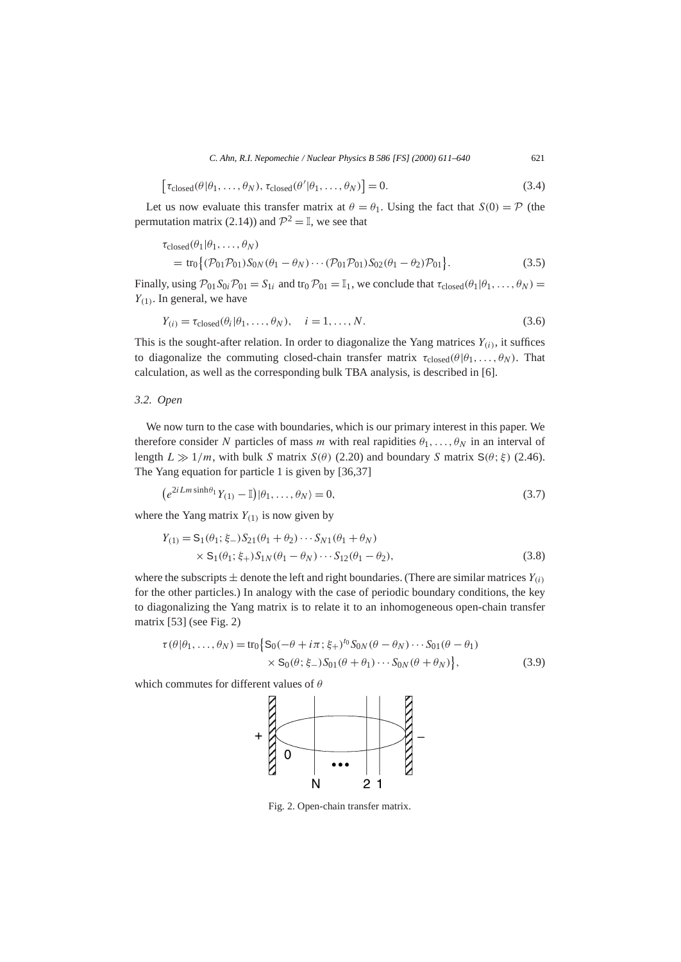$$
\left[\tau_{\text{closed}}(\theta|\theta_1,\ldots,\theta_N),\tau_{\text{closed}}(\theta'|\theta_1,\ldots,\theta_N)\right]=0.
$$
\n(3.4)

Let us now evaluate this transfer matrix at  $\theta = \theta_1$ . Using the fact that  $S(0) = \mathcal{P}$  (the permutation matrix (2.14)) and  $\mathcal{P}^2 = \mathbb{I}$ , we see that

$$
\tau_{\text{closed}}(\theta_1 | \theta_1, ..., \theta_N) \n= \text{tr}_0 \{ (\mathcal{P}_{01} \mathcal{P}_{01}) S_{0N}(\theta_1 - \theta_N) \cdots (\mathcal{P}_{01} \mathcal{P}_{01}) S_{02}(\theta_1 - \theta_2) \mathcal{P}_{01} \}.
$$
\n(3.5)

Finally, using  $\mathcal{P}_{01}S_{0i}\mathcal{P}_{01} = S_{1i}$  and tr<sub>0</sub>  $\mathcal{P}_{01} = \mathbb{I}_1$ , we conclude that  $\tau_{\text{closed}}(\theta_1|\theta_1,\ldots,\theta_N) =$ *Y(*<sup>1</sup>*)*. In general, we have

$$
Y_{(i)} = \tau_{\text{closed}}(\theta_i | \theta_1, \dots, \theta_N), \quad i = 1, \dots, N. \tag{3.6}
$$

This is the sought-after relation. In order to diagonalize the Yang matrices  $Y_{(i)}$ , it suffices to diagonalize the commuting closed-chain transfer matrix  $\tau_{\text{closed}}(\theta | \theta_1, \ldots, \theta_N)$ . That calculation, as well as the corresponding bulk TBA analysis, is described in [6].

#### *3.2. Open*

We now turn to the case with boundaries, which is our primary interest in this paper. We therefore consider *N* particles of mass *m* with real rapidities  $\theta_1, \ldots, \theta_N$  in an interval of length  $L \gg 1/m$ , with bulk *S* matrix  $S(\theta)$  (2.20) and boundary *S* matrix  $S(\theta; \xi)$  (2.46). The Yang equation for particle 1 is given by [36,37]

$$
\left(e^{2iLm\sinh\theta_1}Y_{(1)}-\mathbb{I}\right)|\theta_1,\ldots,\theta_N\rangle=0,\tag{3.7}
$$

where the Yang matrix  $Y_{(1)}$  is now given by

$$
Y_{(1)} = S_1(\theta_1; \xi_{-}) S_{21}(\theta_1 + \theta_2) \cdots S_{N1}(\theta_1 + \theta_N)
$$
  
 
$$
\times S_1(\theta_1; \xi_{+}) S_{1N}(\theta_1 - \theta_N) \cdots S_{12}(\theta_1 - \theta_2),
$$
 (3.8)

where the subscripts  $\pm$  denote the left and right boundaries. (There are similar matrices  $Y_{(i)}$ ) for the other particles.) In analogy with the case of periodic boundary conditions, the key to diagonalizing the Yang matrix is to relate it to an inhomogeneous open-chain transfer matrix [53] (see Fig. 2)

$$
\tau(\theta|\theta_1,\ldots,\theta_N) = \text{tr}_0\big\{S_0(-\theta + i\pi;\xi_+)^{t_0}S_{0N}(\theta - \theta_N)\cdots S_{01}(\theta - \theta_1) \times S_0(\theta;\xi_-)S_{01}(\theta + \theta_1)\cdots S_{0N}(\theta + \theta_N)\big\},\tag{3.9}
$$

which commutes for different values of *θ*



Fig. 2. Open-chain transfer matrix.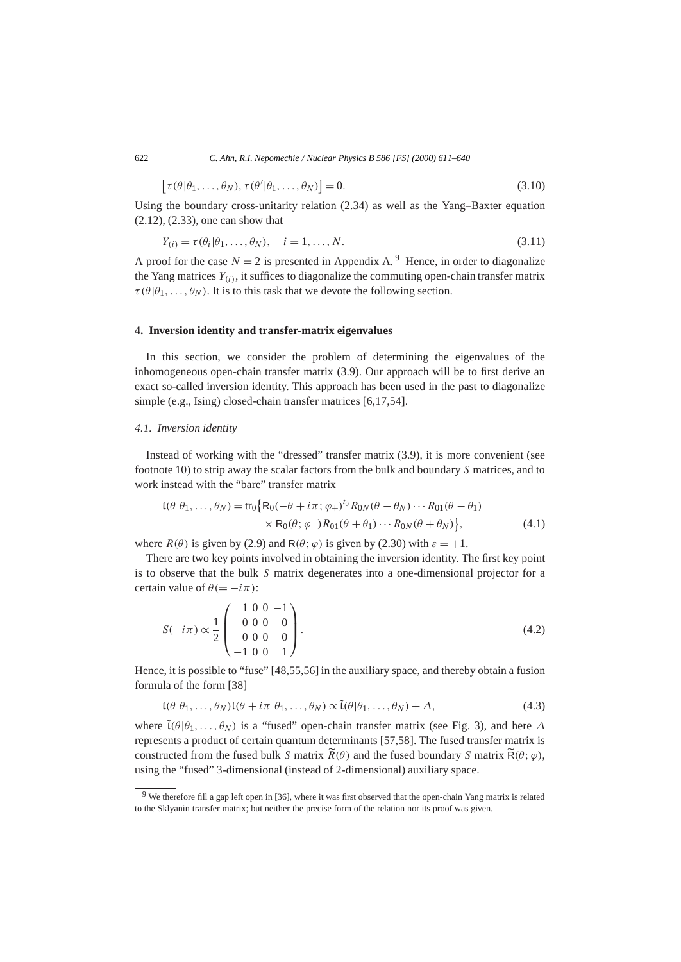$$
\left[\tau(\theta|\theta_1,\ldots,\theta_N),\tau(\theta'|\theta_1,\ldots,\theta_N)\right]=0.
$$
\n(3.10)

Using the boundary cross-unitarity relation  $(2.34)$  as well as the Yang–Baxter equation (2.12), (2.33), one can show that

$$
Y_{(i)} = \tau(\theta_i | \theta_1, \dots, \theta_N), \quad i = 1, \dots, N. \tag{3.11}
$$

A proof for the case  $N = 2$  is presented in Appendix A.<sup>9</sup> Hence, in order to diagonalize the Yang matrices  $Y_{(i)}$ , it suffices to diagonalize the commuting open-chain transfer matrix  $\tau(\theta|\theta_1,\ldots,\theta_N)$ . It is to this task that we devote the following section.

# **4. Inversion identity and transfer-matrix eigenvalues**

In this section, we consider the problem of determining the eigenvalues of the inhomogeneous open-chain transfer matrix (3.9). Our approach will be to first derive an exact so-called inversion identity. This approach has been used in the past to diagonalize simple (e.g., Ising) closed-chain transfer matrices [6,17,54].

# *4.1. Inversion identity*

Instead of working with the "dressed" transfer matrix (3.9), it is more convenient (see footnote 10) to strip away the scalar factors from the bulk and boundary *S* matrices, and to work instead with the "bare" transfer matrix

$$
\begin{aligned} \mathfrak{t}(\theta|\theta_1,\ldots,\theta_N) &= \text{tr}_0 \big\{ \mathsf{R}_0(-\theta+i\pi;\varphi_+)^{t_0} \mathsf{R}_{0N}(\theta-\theta_N) \cdots \mathsf{R}_{01}(\theta-\theta_1) \\ &\times \mathsf{R}_0(\theta;\varphi_-) \mathsf{R}_{01}(\theta+\theta_1) \cdots \mathsf{R}_{0N}(\theta+\theta_N) \big\}, \end{aligned} \tag{4.1}
$$

where  $R(\theta)$  is given by (2.9) and  $R(\theta; \varphi)$  is given by (2.30) with  $\varepsilon = +1$ .

There are two key points involved in obtaining the inversion identity. The first key point is to observe that the bulk *S* matrix degenerates into a one-dimensional projector for a certain value of  $\theta (= -i\pi)$ :

$$
S(-i\pi) \propto \frac{1}{2} \begin{pmatrix} 1 & 0 & 0 & -1 \\ 0 & 0 & 0 & 0 \\ 0 & 0 & 0 & 0 \\ -1 & 0 & 0 & 1 \end{pmatrix} . \tag{4.2}
$$

Hence, it is possible to "fuse" [48,55,56] in the auxiliary space, and thereby obtain a fusion formula of the form [38]

$$
\mathfrak{t}(\theta|\theta_1,\ldots,\theta_N)\mathfrak{t}(\theta+i\pi|\theta_1,\ldots,\theta_N)\propto \tilde{\mathfrak{t}}(\theta|\theta_1,\ldots,\theta_N)+\Delta,\tag{4.3}
$$

where  $\tilde{t}(\theta|\theta_1,\ldots,\theta_N)$  is a "fused" open-chain transfer matrix (see Fig. 3), and here  $\Delta$ represents a product of certain quantum determinants [57,58]. The fused transfer matrix is constructed from the fused bulk *S* matrix  $\widetilde{R}(\theta)$  and the fused boundary *S* matrix  $\widetilde{R}(\theta; \varphi)$ , using the "fused" 3-dimensional (instead of 2-dimensional) auxiliary space.

<sup>9</sup> We therefore fill a gap left open in [36], where it was first observed that the open-chain Yang matrix is related to the Sklyanin transfer matrix; but neither the precise form of the relation nor its proof was given.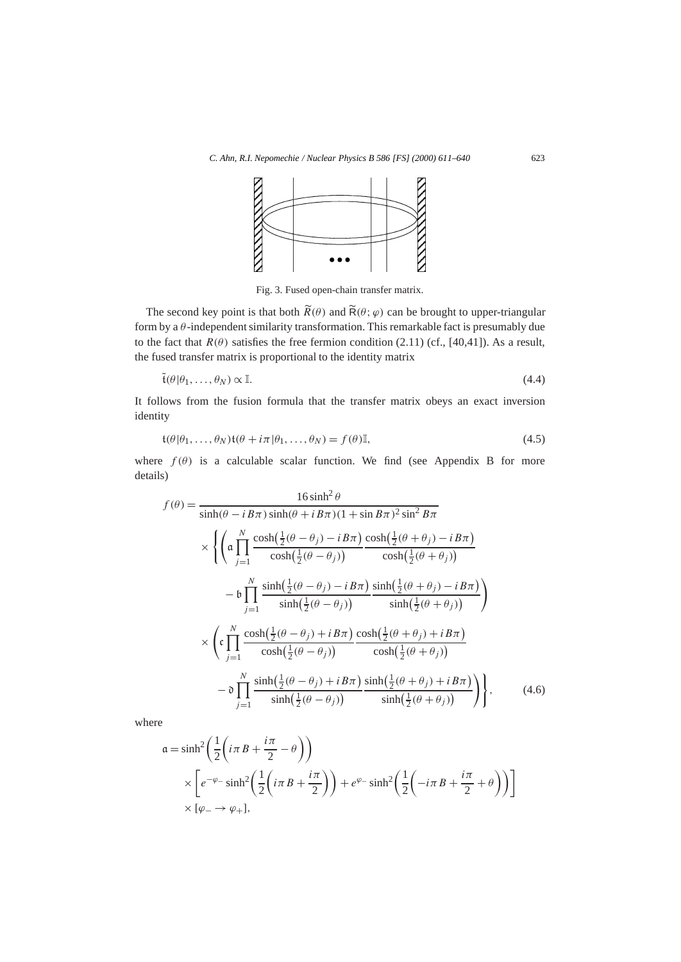

Fig. 3. Fused open-chain transfer matrix.

The second key point is that both  $\widetilde{R}(\theta)$  and  $\widetilde{R}(\theta; \varphi)$  can be brought to upper-triangular form by a *θ* -independent similarity transformation. This remarkable fact is presumably due to the fact that  $R(\theta)$  satisfies the free fermion condition (2.11) (cf., [40,41]). As a result, the fused transfer matrix is proportional to the identity matrix

$$
\tilde{\mathfrak{t}}(\theta|\theta_1,\ldots,\theta_N) \propto \mathbb{I}.\tag{4.4}
$$

It follows from the fusion formula that the transfer matrix obeys an exact inversion identity

$$
\mathfrak{t}(\theta|\theta_1,\ldots,\theta_N)\mathfrak{t}(\theta+i\pi|\theta_1,\ldots,\theta_N)=f(\theta)\mathbb{I},\tag{4.5}
$$

where  $f(\theta)$  is a calculable scalar function. We find (see Appendix B for more details)

$$
f(\theta) = \frac{16 \sinh^2 \theta}{\sinh(\theta - iB\pi) \sinh(\theta + iB\pi)(1 + \sin B\pi)^2 \sin^2 B\pi}
$$
  
\n
$$
\times \left\{ \left( \mathfrak{a} \prod_{j=1}^N \frac{\cosh(\frac{1}{2}(\theta - \theta_j) - iB\pi) \cosh(\frac{1}{2}(\theta + \theta_j) - iB\pi)}{\cosh(\frac{1}{2}(\theta - \theta_j))} \right. \frac{\cosh(\frac{1}{2}(\theta + \theta_j) - iB\pi)}{\cosh(\frac{1}{2}(\theta + \theta_j))} \right\}
$$
  
\n
$$
- \mathfrak{b} \prod_{j=1}^N \frac{\sinh(\frac{1}{2}(\theta - \theta_j) - iB\pi) \sinh(\frac{1}{2}(\theta + \theta_j) - iB\pi)}{\sinh(\frac{1}{2}(\theta - \theta_j))} \right\}
$$
  
\n
$$
\times \left( \mathfrak{c} \prod_{j=1}^N \frac{\cosh(\frac{1}{2}(\theta - \theta_j) + iB\pi) \cosh(\frac{1}{2}(\theta + \theta_j) + iB\pi)}{\cosh(\frac{1}{2}(\theta - \theta_j))} \frac{\cosh(\frac{1}{2}(\theta + \theta_j) + iB\pi)}{\cosh(\frac{1}{2}(\theta + \theta_j))} \right)
$$
  
\n
$$
- \mathfrak{d} \prod_{j=1}^N \frac{\sinh(\frac{1}{2}(\theta - \theta_j) + iB\pi) \sinh(\frac{1}{2}(\theta + \theta_j) + iB\pi)}{\sinh(\frac{1}{2}(\theta - \theta_j))} \right\}, \qquad (4.6)
$$

where

$$
\begin{aligned}\n\mathfrak{a} &= \sinh^2 \left( \frac{1}{2} \left( i \pi \, B + \frac{i \pi}{2} - \theta \right) \right) \\
&\times \left[ e^{-\varphi_{-}} \sinh^2 \left( \frac{1}{2} \left( i \pi \, B + \frac{i \pi}{2} \right) \right) + e^{\varphi_{-}} \sinh^2 \left( \frac{1}{2} \left( -i \pi \, B + \frac{i \pi}{2} + \theta \right) \right) \right] \\
&\times \left[ \varphi_{-} \to \varphi_{+} \right],\n\end{aligned}
$$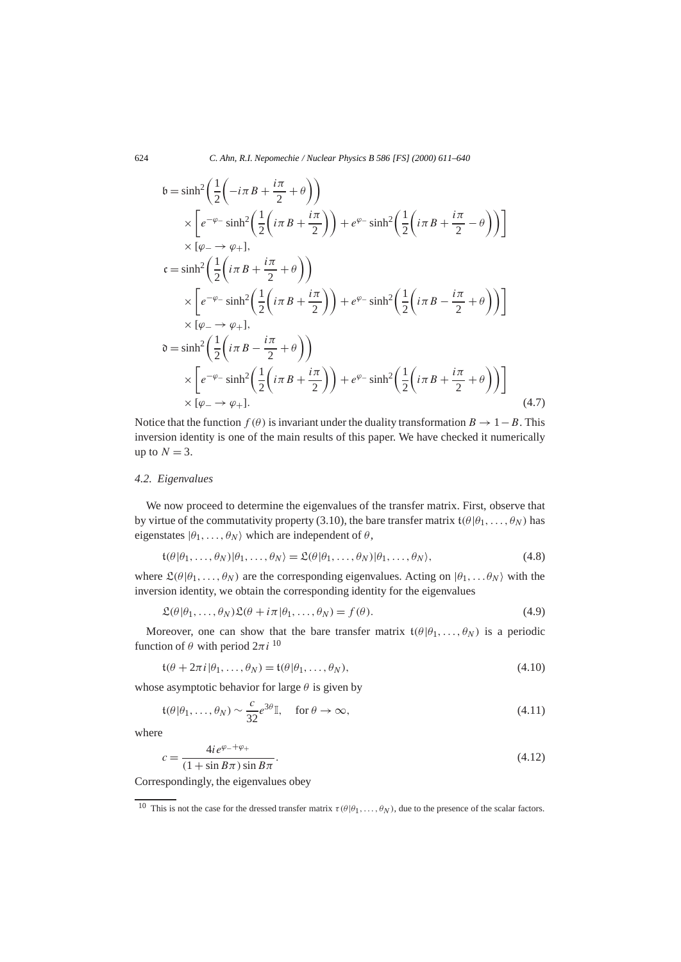$$
b = \sinh^2\left(\frac{1}{2}\left(-i\pi B + \frac{i\pi}{2} + \theta\right)\right)
$$
  
\n
$$
\times \left[e^{-\varphi_{-}}\sinh^2\left(\frac{1}{2}\left(i\pi B + \frac{i\pi}{2}\right)\right) + e^{\varphi_{-}}\sinh^2\left(\frac{1}{2}\left(i\pi B + \frac{i\pi}{2} - \theta\right)\right)\right]
$$
  
\n
$$
\times [\varphi_{-} \to \varphi_{+}],
$$
  
\n
$$
c = \sinh^2\left(\frac{1}{2}\left(i\pi B + \frac{i\pi}{2} + \theta\right)\right)
$$
  
\n
$$
\times \left[e^{-\varphi_{-}}\sinh^2\left(\frac{1}{2}\left(i\pi B + \frac{i\pi}{2}\right)\right) + e^{\varphi_{-}}\sinh^2\left(\frac{1}{2}\left(i\pi B - \frac{i\pi}{2} + \theta\right)\right)\right]
$$
  
\n
$$
\times [\varphi_{-} \to \varphi_{+}],
$$
  
\n
$$
0 = \sinh^2\left(\frac{1}{2}\left(i\pi B - \frac{i\pi}{2} + \theta\right)\right)
$$
  
\n
$$
\times \left[e^{-\varphi_{-}}\sinh^2\left(\frac{1}{2}\left(i\pi B + \frac{i\pi}{2}\right)\right) + e^{\varphi_{-}}\sinh^2\left(\frac{1}{2}\left(i\pi B + \frac{i\pi}{2} + \theta\right)\right)\right]
$$
  
\n
$$
\times [\varphi_{-} \to \varphi_{+}].
$$
  
\n(4.7)

Notice that the function  $f(\theta)$  is invariant under the duality transformation  $B \to 1 - B$ . This inversion identity is one of the main results of this paper. We have checked it numerically up to  $N = 3$ .

# *4.2. Eigenvalues*

We now proceed to determine the eigenvalues of the transfer matrix. First, observe that by virtue of the commutativity property (3.10), the bare transfer matrix  $\mathfrak{t}(\theta|\theta_1,\ldots,\theta_N)$  has eigenstates  $|\theta_1, \ldots, \theta_N\rangle$  which are independent of  $\theta$ ,

$$
\mathfrak{t}(\theta|\theta_1,\ldots,\theta_N)|\theta_1,\ldots,\theta_N\rangle = \mathfrak{L}(\theta|\theta_1,\ldots,\theta_N)|\theta_1,\ldots,\theta_N\rangle,
$$
\n(4.8)

where  $\mathcal{L}(\theta | \theta_1, \ldots, \theta_N)$  are the corresponding eigenvalues. Acting on  $|\theta_1, \ldots, \theta_N\rangle$  with the inversion identity, we obtain the corresponding identity for the eigenvalues

$$
\mathfrak{L}(\theta|\theta_1,\ldots,\theta_N)\mathfrak{L}(\theta+i\pi|\theta_1,\ldots,\theta_N)=f(\theta). \tag{4.9}
$$

Moreover, one can show that the bare transfer matrix  $\mathfrak{t}(\theta|\theta_1,\ldots,\theta_N)$  is a periodic function of *θ* with period  $2\pi i$ <sup>10</sup>

$$
\mathfrak{t}(\theta + 2\pi i | \theta_1, \dots, \theta_N) = \mathfrak{t}(\theta | \theta_1, \dots, \theta_N),\tag{4.10}
$$

whose asymptotic behavior for large *θ* is given by

$$
\mathfrak{t}(\theta|\theta_1,\ldots,\theta_N) \sim \frac{c}{32}e^{3\theta}\mathbb{I}, \quad \text{for } \theta \to \infty,
$$
\n(4.11)

where

$$
c = \frac{4ie^{\varphi_- + \varphi_+}}{(1 + \sin B\pi)\sin B\pi}.
$$
\n
$$
(4.12)
$$

Correspondingly, the eigenvalues obey

<sup>&</sup>lt;sup>10</sup> This is not the case for the dressed transfer matrix  $\tau(\theta|\theta_1,\ldots,\theta_N)$ , due to the presence of the scalar factors.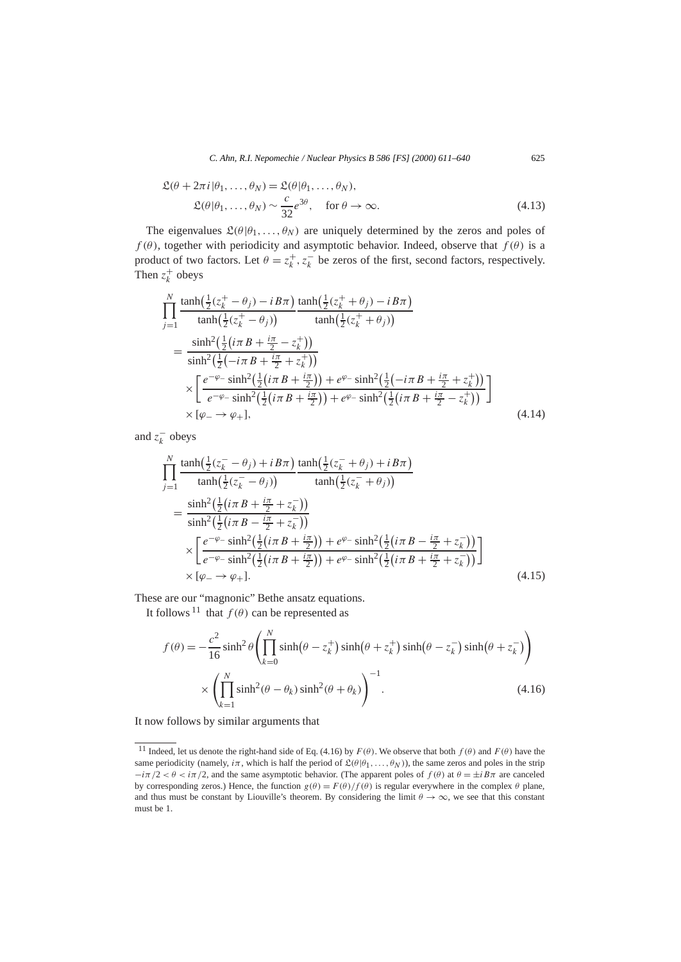$$
\mathfrak{L}(\theta + 2\pi i | \theta_1, \dots, \theta_N) = \mathfrak{L}(\theta | \theta_1, \dots, \theta_N),
$$
  

$$
\mathfrak{L}(\theta | \theta_1, \dots, \theta_N) \sim \frac{c}{32} e^{3\theta}, \quad \text{for } \theta \to \infty.
$$
 (4.13)

The eigenvalues  $\mathfrak{L}(\theta|\theta_1,\ldots,\theta_N)$  are uniquely determined by the zeros and poles of  $f(\theta)$ , together with periodicity and asymptotic behavior. Indeed, observe that  $f(\theta)$  is a product of two factors. Let  $\theta = z_k^+, z_k^-$  be zeros of the first, second factors, respectively. Then  $z_k^+$  obeys

$$
\begin{split}\n&\prod_{j=1}^{N} \frac{\tanh(\frac{1}{2}(z_{k}^{+}-\theta_{j})-i B\pi)}{\tanh(\frac{1}{2}(z_{k}^{+}-\theta_{j}))} \frac{\tanh(\frac{1}{2}(z_{k}^{+}+\theta_{j})-i B\pi)}{\tanh(\frac{1}{2}(z_{k}^{+}+\theta_{j}))} \\
&= \frac{\sinh^{2}(\frac{1}{2}(i\pi B + \frac{i\pi}{2} - z_{k}^{+}))}{\sinh^{2}(\frac{1}{2}(-i\pi B + \frac{i\pi}{2} + z_{k}^{+}))} \\
&\times \left[\frac{e^{-\varphi_{-}}\sinh^{2}(\frac{1}{2}(i\pi B + \frac{i\pi}{2})) + e^{\varphi_{-}}\sinh^{2}(\frac{1}{2}(-i\pi B + \frac{i\pi}{2} + z_{k}^{+}))}{e^{-\varphi_{-}}\sinh^{2}(\frac{1}{2}(i\pi B + \frac{i\pi}{2} - z_{k}^{+}))}\right] \\
&\times [\varphi_{-} \rightarrow \varphi_{+}], \qquad (4.14)\n\end{split}
$$

and  $z_k^-$  obeys

$$
\begin{split}\n&\prod_{j=1}^{N} \frac{\tanh(\frac{1}{2}(z_{k}^{-}-\theta_{j})+i B\pi)}{\tanh(\frac{1}{2}(z_{k}^{-}-\theta_{j}))} \frac{\tanh(\frac{1}{2}(z_{k}^{-}+\theta_{j})+i B\pi)}{\tanh(\frac{1}{2}(z_{k}^{-}+\theta_{j}))} \\
&= \frac{\sinh^{2}(\frac{1}{2}(i\pi B+\frac{i\pi}{2}+z_{k}^{-}))}{\sinh^{2}(\frac{1}{2}(i\pi B-\frac{i\pi}{2}+z_{k}^{-}))} \\
&\times \left[\frac{e^{-\varphi_{-}}\sinh^{2}(\frac{1}{2}(i\pi B+\frac{i\pi}{2}))+e^{\varphi_{-}}\sinh^{2}(\frac{1}{2}(i\pi B-\frac{i\pi}{2}+z_{k}^{-}))}{e^{-\varphi_{-}}\sinh^{2}(\frac{1}{2}(i\pi B+\frac{i\pi}{2}+z_{k}^{-}))}\right] \\
&\times [\varphi_{-} \rightarrow \varphi_{+}].\n\end{split} \tag{4.15}
$$

These are our "magnonic" Bethe ansatz equations.

It follows <sup>11</sup> that  $f(\theta)$  can be represented as

$$
f(\theta) = -\frac{c^2}{16}\sinh^2\theta \left(\prod_{k=0}^N \sinh(\theta - z_k^+) \sinh(\theta + z_k^+) \sinh(\theta - z_k^-) \sinh(\theta + z_k^-)\right)
$$
  
 
$$
\times \left(\prod_{k=1}^N \sinh^2(\theta - \theta_k) \sinh^2(\theta + \theta_k)\right)^{-1}.
$$
 (4.16)

It now follows by similar arguments that

<sup>&</sup>lt;sup>11</sup> Indeed, let us denote the right-hand side of Eq. (4.16) by  $F(\theta)$ . We observe that both  $f(\theta)$  and  $F(\theta)$  have the same periodicity (namely,  $i\pi$ , which is half the period of  $\mathfrak{L}(\theta|\theta_1,\ldots,\theta_N)$ ), the same zeros and poles in the strip  $-i\pi/2 < \theta < i\pi/2$ , and the same asymptotic behavior. (The apparent poles of  $f(\theta)$  at  $\theta = \pm i B \pi$  are canceled by corresponding zeros.) Hence, the function  $g(\theta) = F(\theta)/f(\theta)$  is regular everywhere in the complex  $\theta$  plane, and thus must be constant by Liouville's theorem. By considering the limit  $\theta \to \infty$ , we see that this constant must be 1.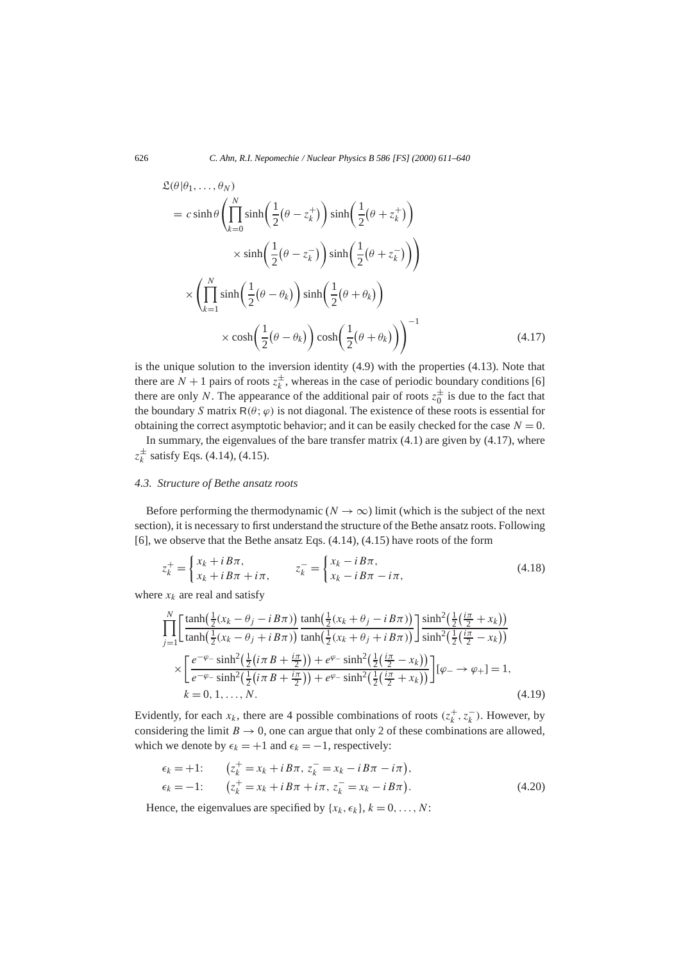$$
\mathcal{L}(\theta|\theta_1, ..., \theta_N)
$$
\n
$$
= c \sinh \theta \left( \prod_{k=0}^N \sinh \left( \frac{1}{2} (\theta - z_k^+) \right) \sinh \left( \frac{1}{2} (\theta + z_k^+) \right) \right)
$$
\n
$$
\times \sinh \left( \frac{1}{2} (\theta - z_k^-) \right) \sinh \left( \frac{1}{2} (\theta + z_k^-) \right) \right)
$$
\n
$$
\times \left( \prod_{k=1}^N \sinh \left( \frac{1}{2} (\theta - \theta_k) \right) \sinh \left( \frac{1}{2} (\theta + \theta_k) \right) \right)
$$
\n
$$
\times \cosh \left( \frac{1}{2} (\theta - \theta_k) \right) \cosh \left( \frac{1}{2} (\theta + \theta_k) \right) \right)^{-1} \tag{4.17}
$$

is the unique solution to the inversion identity  $(4.9)$  with the properties  $(4.13)$ . Note that there are  $N + 1$  pairs of roots  $z_k^{\pm}$ , whereas in the case of periodic boundary conditions [6] there are only *N*. The appearance of the additional pair of roots  $z_0^{\pm}$  is due to the fact that the boundary *S* matrix  $R(\theta; \varphi)$  is not diagonal. The existence of these roots is essential for obtaining the correct asymptotic behavior; and it can be easily checked for the case  $N = 0$ .

In summary, the eigenvalues of the bare transfer matrix  $(4.1)$  are given by  $(4.17)$ , where  $z_k^{\pm}$  satisfy Eqs. (4.14), (4.15).

#### *4.3. Structure of Bethe ansatz roots*

Before performing the thermodynamic ( $N \to \infty$ ) limit (which is the subject of the next section), it is necessary to first understand the structure of the Bethe ansatz roots. Following [6], we observe that the Bethe ansatz Eqs. (4.14), (4.15) have roots of the form

$$
z_k^+ = \begin{cases} x_k + iB\pi, & z_k^- = \begin{cases} x_k - iB\pi, \\ x_k + iB\pi + i\pi, \end{cases} \qquad z_k^- = \begin{cases} x_k - iB\pi, \\ x_k - iB\pi - i\pi, \end{cases} \tag{4.18}
$$

where  $x_k$  are real and satisfy

$$
\prod_{j=1}^{N} \left[ \frac{\tanh(\frac{1}{2}(x_k - \theta_j - i B\pi)) \tanh(\frac{1}{2}(x_k + \theta_j - i B\pi))}{\tanh(\frac{1}{2}(x_k - \theta_j + i B\pi))} \right] \frac{\sinh^2(\frac{1}{2}(\frac{i\pi}{2} + x_k))}{\sinh^2(\frac{1}{2}(\frac{i\pi}{2} - x_k))} \times \left[ \frac{e^{-\varphi_{-}} \sinh^2(\frac{1}{2}(i\pi B + \frac{i\pi}{2})) + e^{\varphi_{-}} \sinh^2(\frac{1}{2}(\frac{i\pi}{2} - x_k))}{e^{-\varphi_{-}} \sinh^2(\frac{1}{2}(i\pi B + \frac{i\pi}{2})) + e^{\varphi_{-}} \sinh^2(\frac{1}{2}(\frac{i\pi}{2} + x_k))} \right] [\varphi_{-} \to \varphi_{+}] = 1, k = 0, 1, ..., N.
$$
\n(4.19)

Evidently, for each  $x_k$ , there are 4 possible combinations of roots  $(z_k^+, z_k^-)$ . However, by considering the limit  $B \to 0$ , one can argue that only 2 of these combinations are allowed, which we denote by  $\epsilon_k = +1$  and  $\epsilon_k = -1$ , respectively:

$$
\epsilon_k = +1; \qquad (z_k^+ = x_k + i B \pi, z_k^- = x_k - i B \pi - i \pi), \n\epsilon_k = -1; \qquad (z_k^+ = x_k + i B \pi + i \pi, z_k^- = x_k - i B \pi).
$$
\n(4.20)

Hence, the eigenvalues are specified by  $\{x_k, \epsilon_k\}, k = 0, \ldots, N$ :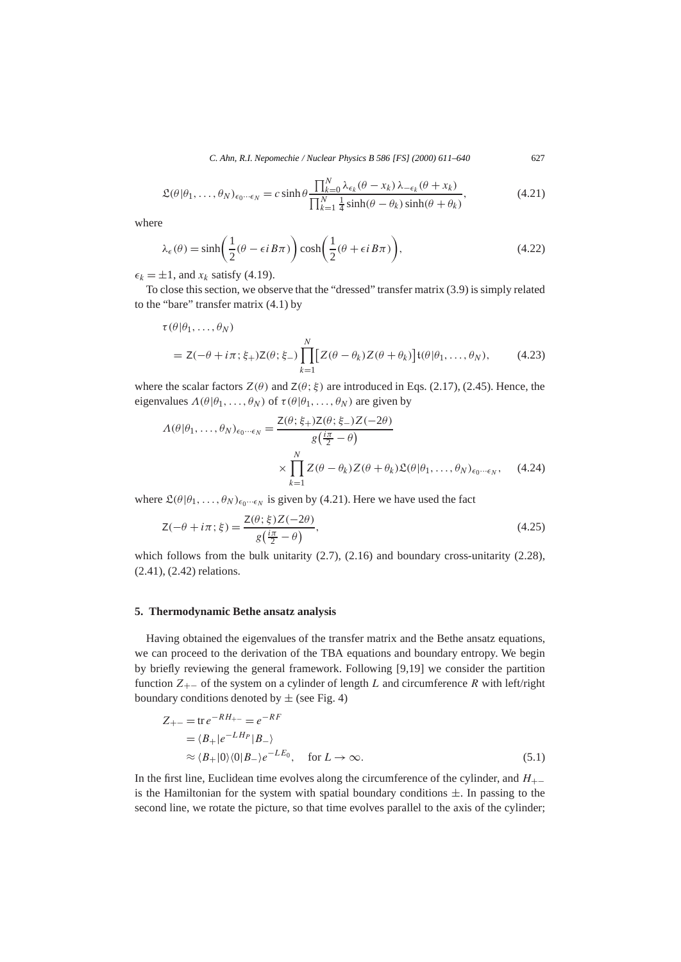$$
\mathfrak{L}(\theta|\theta_1,\ldots,\theta_N)_{\epsilon_0\cdots\epsilon_N} = c \sinh\theta \frac{\prod_{k=0}^N \lambda_{\epsilon_k}(\theta - x_k) \lambda_{-\epsilon_k}(\theta + x_k)}{\prod_{k=1}^N \frac{1}{4} \sinh(\theta - \theta_k) \sinh(\theta + \theta_k)},\tag{4.21}
$$

where

$$
\lambda_{\epsilon}(\theta) = \sinh\left(\frac{1}{2}(\theta - \epsilon i B \pi)\right) \cosh\left(\frac{1}{2}(\theta + \epsilon i B \pi)\right),\tag{4.22}
$$

 $\epsilon_k = \pm 1$ , and  $x_k$  satisfy (4.19).

To close this section, we observe that the "dressed" transfer matrix (3.9) is simply related to the "bare" transfer matrix (4.1) by

$$
\tau(\theta|\theta_1,\ldots,\theta_N) = Z(-\theta + i\pi;\xi_+)Z(\theta;\xi_-)\prod_{k=1}^N [Z(\theta - \theta_k)Z(\theta + \theta_k)]\mathfrak{t}(\theta|\theta_1,\ldots,\theta_N), \qquad (4.23)
$$

where the scalar factors  $Z(\theta)$  and  $Z(\theta; \xi)$  are introduced in Eqs. (2.17), (2.45). Hence, the eigenvalues  $\Lambda(\theta|\theta_1,\ldots,\theta_N)$  of  $\tau(\theta|\theta_1,\ldots,\theta_N)$  are given by

$$
\Lambda(\theta|\theta_1,\ldots,\theta_N)_{\epsilon_0\cdots\epsilon_N} = \frac{Z(\theta;\xi_+)Z(\theta;\xi_-)Z(-2\theta)}{g(\frac{i\pi}{2}-\theta)}
$$

$$
\times \prod_{k=1}^N Z(\theta-\theta_k)Z(\theta+\theta_k)\mathfrak{L}(\theta|\theta_1,\ldots,\theta_N)_{\epsilon_0\cdots\epsilon_N},\qquad(4.24)
$$

where  $\mathfrak{L}(\theta|\theta_1,\ldots,\theta_N)_{\epsilon_0\cdots\epsilon_N}$  is given by (4.21). Here we have used the fact

$$
Z(-\theta + i\pi; \xi) = \frac{Z(\theta; \xi)Z(-2\theta)}{g(\frac{i\pi}{2} - \theta)},
$$
\n(4.25)

which follows from the bulk unitarity (2.7), (2.16) and boundary cross-unitarity (2.28), (2.41), (2.42) relations.

# **5. Thermodynamic Bethe ansatz analysis**

Having obtained the eigenvalues of the transfer matrix and the Bethe ansatz equations, we can proceed to the derivation of the TBA equations and boundary entropy. We begin by briefly reviewing the general framework. Following [9,19] we consider the partition function *Z*+− of the system on a cylinder of length *L* and circumference *R* with left/right boundary conditions denoted by  $\pm$  (see Fig. 4)

$$
Z_{+-} = \text{tr } e^{-RH_{+-}} = e^{-RF}
$$
  
=  $\langle B_+|e^{-LH_P}|B_-\rangle$   
 $\approx \langle B_+|0\rangle\langle 0|B_-\rangle e^{-LE_0}, \quad \text{for } L \to \infty.$  (5.1)

In the first line, Euclidean time evolves along the circumference of the cylinder, and *H*+− is the Hamiltonian for the system with spatial boundary conditions  $\pm$ . In passing to the second line, we rotate the picture, so that time evolves parallel to the axis of the cylinder;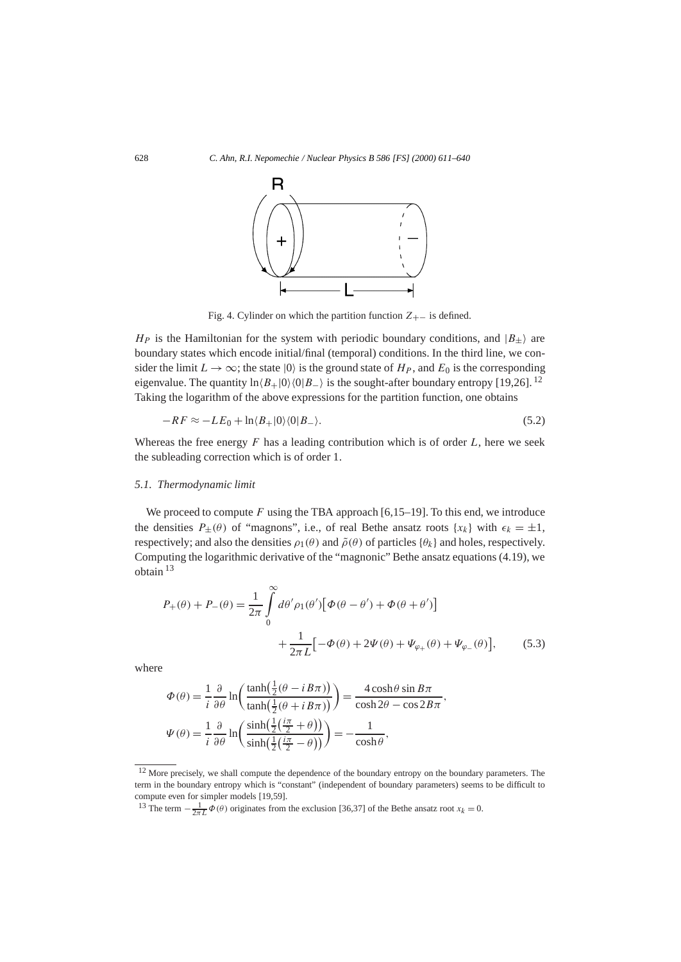

Fig. 4. Cylinder on which the partition function  $Z_{+−}$  is defined.

*H<sub>P</sub>* is the Hamiltonian for the system with periodic boundary conditions, and  $|B_{\pm}\rangle$  are boundary states which encode initial/final (temporal) conditions. In the third line, we consider the limit  $L \to \infty$ ; the state  $|0\rangle$  is the ground state of  $H_P$ , and  $E_0$  is the corresponding eigenvalue. The quantity  $\ln\langle B_+|0\rangle\langle 0|B_-\rangle$  is the sought-after boundary entropy [19,26]. <sup>12</sup> Taking the logarithm of the above expressions for the partition function, one obtains

$$
-RF \approx -LE_0 + \ln \langle B_+|0\rangle\langle 0|B_-\rangle. \tag{5.2}
$$

Whereas the free energy *F* has a leading contribution which is of order *L*, here we seek the subleading correction which is of order 1.

#### *5.1. Thermodynamic limit*

We proceed to compute  $F$  using the TBA approach  $[6,15–19]$ . To this end, we introduce the densities  $P_+(\theta)$  of "magnons", i.e., of real Bethe ansatz roots  $\{x_k\}$  with  $\epsilon_k = \pm 1$ , respectively; and also the densities  $\rho_1(\theta)$  and  $\tilde{\rho}(\theta)$  of particles  $\{\theta_k\}$  and holes, respectively. Computing the logarithmic derivative of the "magnonic" Bethe ansatz equations (4.19), we obtain <sup>13</sup>

$$
P_{+}(\theta) + P_{-}(\theta) = \frac{1}{2\pi} \int_{0}^{\infty} d\theta' \rho_{1}(\theta') [\Phi(\theta - \theta') + \Phi(\theta + \theta')]
$$

$$
+ \frac{1}{2\pi L} [-\Phi(\theta) + 2\Psi(\theta) + \Psi_{\varphi_{+}}(\theta) + \Psi_{\varphi_{-}}(\theta)], \qquad (5.3)
$$

where

$$
\Phi(\theta) = \frac{1}{i} \frac{\partial}{\partial \theta} \ln \left( \frac{\tanh(\frac{1}{2}(\theta - i \sin \theta))}{\tanh(\frac{1}{2}(\theta + i \sin \theta))} \right) = \frac{4 \cosh \theta \sin B\pi}{\cosh 2\theta - \cos 2B\pi},
$$

$$
\Psi(\theta) = \frac{1}{i} \frac{\partial}{\partial \theta} \ln \left( \frac{\sinh(\frac{1}{2}(\frac{i\pi}{2} + \theta))}{\sinh(\frac{1}{2}(\frac{i\pi}{2} - \theta))} \right) = -\frac{1}{\cosh \theta},
$$

<sup>&</sup>lt;sup>12</sup> More precisely, we shall compute the dependence of the boundary entropy on the boundary parameters. The term in the boundary entropy which is "constant" (independent of boundary parameters) seems to be difficult to compute even for simpler models [19,59].

<sup>&</sup>lt;sup>13</sup> The term  $-\frac{1}{2\pi L}\Phi(\theta)$  originates from the exclusion [36,37] of the Bethe ansatz root  $x_k = 0$ .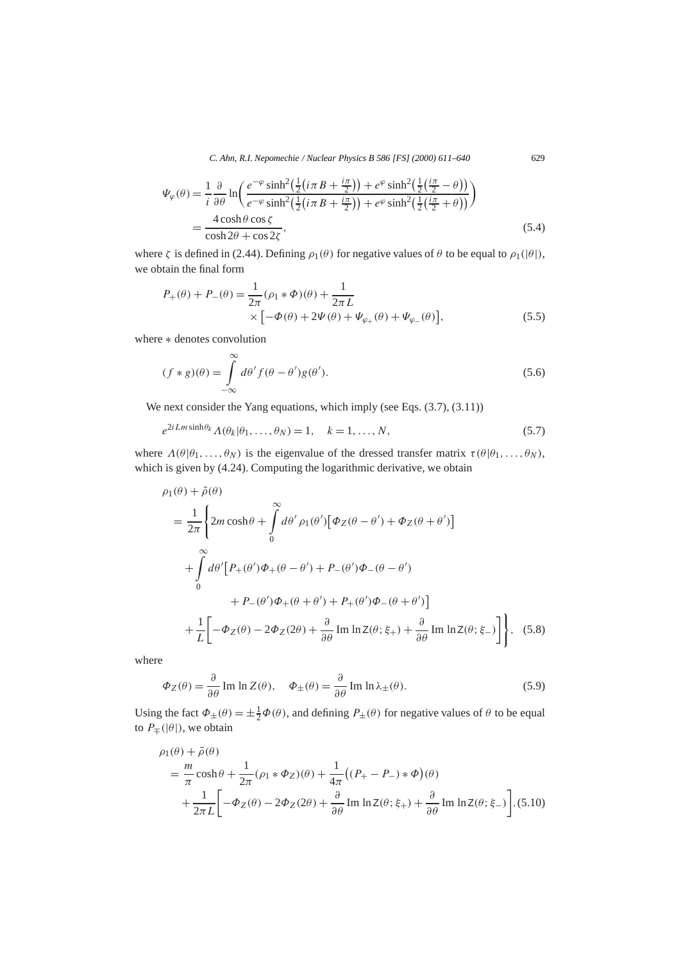$$
\Psi_{\varphi}(\theta) = \frac{1}{i} \frac{\partial}{\partial \theta} \ln \left( \frac{e^{-\varphi} \sinh^2(\frac{1}{2}(i\pi B + \frac{i\pi}{2})) + e^{\varphi} \sinh^2(\frac{1}{2}(\frac{i\pi}{2} - \theta))}{e^{-\varphi} \sinh^2(\frac{1}{2}(i\pi B + \frac{i\pi}{2})) + e^{\varphi} \sinh^2(\frac{1}{2}(\frac{i\pi}{2} + \theta))} \right)
$$
\n
$$
= \frac{4 \cosh \theta \cos \zeta}{\cosh 2\theta + \cos 2\zeta},
$$
\n(5.4)

where  $\zeta$  is defined in (2.44). Defining  $\rho_1(\theta)$  for negative values of  $\theta$  to be equal to  $\rho_1(|\theta|)$ , we obtain the final form

$$
P_{+}(\theta) + P_{-}(\theta) = \frac{1}{2\pi} (\rho_{1} * \Phi)(\theta) + \frac{1}{2\pi L} \times \left[ -\Phi(\theta) + 2\Psi(\theta) + \Psi_{\varphi_{+}}(\theta) + \Psi_{\varphi_{-}}(\theta) \right],
$$
\n(5.5)

where ∗ denotes convolution

$$
(f * g)(\theta) = \int_{-\infty}^{\infty} d\theta' f(\theta - \theta') g(\theta').
$$
\n(5.6)

We next consider the Yang equations, which imply (see Eqs.  $(3.7)$ ,  $(3.11)$ )

$$
e^{2iLm\sinh\theta_k} \Lambda(\theta_k|\theta_1,\ldots,\theta_N) = 1, \quad k = 1,\ldots,N,
$$
\n(5.7)

where  $\Lambda(\theta|\theta_1,\ldots,\theta_N)$  is the eigenvalue of the dressed transfer matrix  $\tau(\theta|\theta_1,\ldots,\theta_N)$ , which is given by (4.24). Computing the logarithmic derivative, we obtain

$$
\rho_1(\theta) + \tilde{\rho}(\theta)
$$
\n
$$
= \frac{1}{2\pi} \left\{ 2m \cosh \theta + \int_0^\infty d\theta' \rho_1(\theta') \left[ \Phi_Z(\theta - \theta') + \Phi_Z(\theta + \theta') \right] \right.
$$
\n
$$
+ \int_0^\infty d\theta' \left[ P_+(\theta') \Phi_+(\theta - \theta') + P_-(\theta') \Phi_-(\theta - \theta') \right.
$$
\n
$$
+ P_-(\theta') \Phi_+(\theta + \theta') + P_+(\theta') \Phi_-(\theta + \theta')
$$
\n
$$
+ \frac{1}{L} \left[ -\Phi_Z(\theta) - 2\Phi_Z(2\theta) + \frac{\partial}{\partial \theta} \operatorname{Im} \ln Z(\theta; \xi_+) + \frac{\partial}{\partial \theta} \operatorname{Im} \ln Z(\theta; \xi_-) \right] \right\}, \quad (5.8)
$$

where

$$
\Phi_Z(\theta) = \frac{\partial}{\partial \theta} \operatorname{Im} \ln Z(\theta), \quad \Phi_{\pm}(\theta) = \frac{\partial}{\partial \theta} \operatorname{Im} \ln \lambda_{\pm}(\theta). \tag{5.9}
$$

Using the fact  $\Phi_{\pm}(\theta) = \pm \frac{1}{2}\Phi(\theta)$ , and defining  $P_{\pm}(\theta)$  for negative values of  $\theta$  to be equal to  $P$ <sub>∓</sub>(| $\theta$ |), we obtain

$$
\rho_1(\theta) + \tilde{\rho}(\theta)
$$
  
=  $\frac{m}{\pi} \cosh \theta + \frac{1}{2\pi} (\rho_1 * \Phi_Z)(\theta) + \frac{1}{4\pi} ((P_+ - P_-) * \Phi)(\theta)$   
+  $\frac{1}{2\pi L} \left[ -\Phi_Z(\theta) - 2\Phi_Z(2\theta) + \frac{\partial}{\partial \theta} \text{Im} \ln Z(\theta; \xi_+) + \frac{\partial}{\partial \theta} \text{Im} \ln Z(\theta; \xi_-) \right].$  (5.10)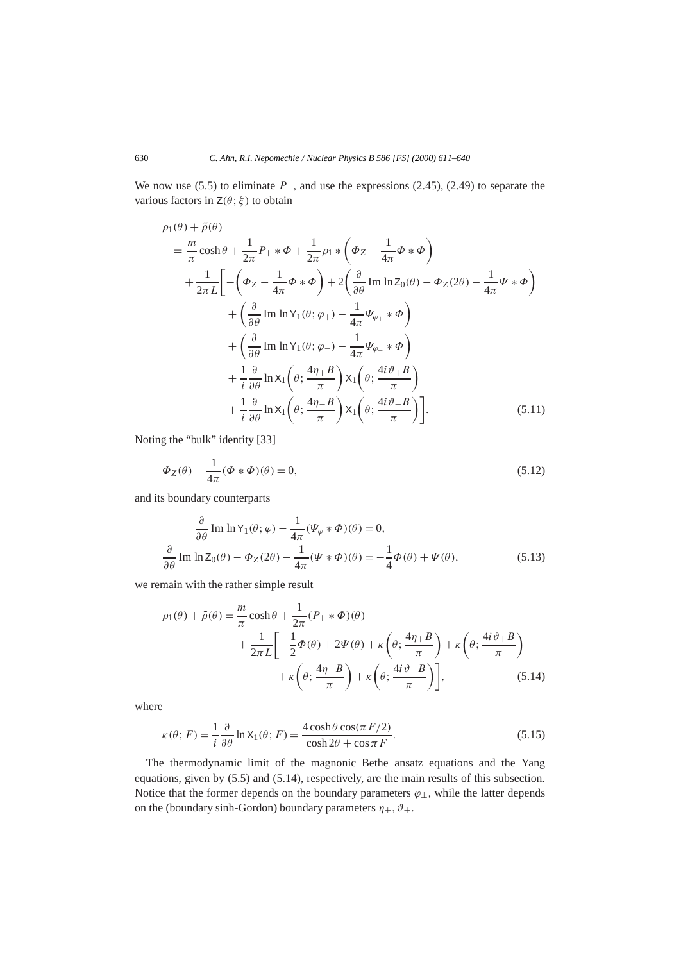We now use (5.5) to eliminate *P*−, and use the expressions (2.45), (2.49) to separate the various factors in  $Z(\theta; \xi)$  to obtain

$$
\rho_1(\theta) + \tilde{\rho}(\theta)
$$
\n
$$
= \frac{m}{\pi} \cosh \theta + \frac{1}{2\pi} P_+ * \Phi + \frac{1}{2\pi} \rho_1 * (\Phi_Z - \frac{1}{4\pi} \Phi * \Phi)
$$
\n
$$
+ \frac{1}{2\pi L} \Bigg[ -(\Phi_Z - \frac{1}{4\pi} \Phi * \Phi) + 2(\frac{\partial}{\partial \theta} \operatorname{Im} \ln Z_0(\theta) - \Phi_Z(2\theta) - \frac{1}{4\pi} \Psi * \Phi)
$$
\n
$$
+ (\frac{\partial}{\partial \theta} \operatorname{Im} \ln Y_1(\theta; \varphi_+) - \frac{1}{4\pi} \Psi_{\varphi_+} * \Phi)
$$
\n
$$
+ (\frac{\partial}{\partial \theta} \operatorname{Im} \ln Y_1(\theta; \varphi_-) - \frac{1}{4\pi} \Psi_{\varphi_-} * \Phi)
$$
\n
$$
+ \frac{1}{i} \frac{\partial}{\partial \theta} \ln X_1(\theta; \frac{4\eta_+ B}{\pi}) X_1(\theta; \frac{4i\vartheta_+ B}{\pi})
$$
\n
$$
+ \frac{1}{i} \frac{\partial}{\partial \theta} \ln X_1(\theta; \frac{4\eta_- B}{\pi}) X_1(\theta; \frac{4i\vartheta_- B}{\pi}) \Bigg]. \tag{5.11}
$$

Noting the "bulk" identity [33]

$$
\Phi_Z(\theta) - \frac{1}{4\pi} (\Phi * \Phi)(\theta) = 0,
$$
\n(5.12)

and its boundary counterparts

$$
\frac{\partial}{\partial \theta} \operatorname{Im} \ln Y_1(\theta; \varphi) - \frac{1}{4\pi} (\Psi_{\varphi} * \Phi)(\theta) = 0,
$$
  

$$
\frac{\partial}{\partial \theta} \operatorname{Im} \ln Z_0(\theta) - \Phi_Z(2\theta) - \frac{1}{4\pi} (\Psi * \Phi)(\theta) = -\frac{1}{4} \Phi(\theta) + \Psi(\theta),
$$
(5.13)

we remain with the rather simple result

$$
\rho_1(\theta) + \tilde{\rho}(\theta) = \frac{m}{\pi} \cosh \theta + \frac{1}{2\pi} (P_+ * \Phi)(\theta)
$$
  
+ 
$$
\frac{1}{2\pi L} \left[ -\frac{1}{2} \Phi(\theta) + 2\Psi(\theta) + \kappa \left( \theta; \frac{4\eta + B}{\pi} \right) + \kappa \left( \theta; \frac{4i\vartheta + B}{\pi} \right) + \kappa \left( \theta; \frac{4i\vartheta - B}{\pi} \right) + \kappa \left( \theta; \frac{4i\vartheta - B}{\pi} \right) \right],
$$
(5.14)

where

$$
\kappa(\theta; F) = \frac{1}{i} \frac{\partial}{\partial \theta} \ln X_1(\theta; F) = \frac{4 \cosh \theta \cos(\pi F/2)}{\cosh 2\theta + \cos \pi F}.
$$
\n(5.15)

The thermodynamic limit of the magnonic Bethe ansatz equations and the Yang equations, given by (5.5) and (5.14), respectively, are the main results of this subsection. Notice that the former depends on the boundary parameters  $\varphi_{\pm}$ , while the latter depends on the (boundary sinh-Gordon) boundary parameters  $\eta_{\pm}$ ,  $\vartheta_{\pm}$ .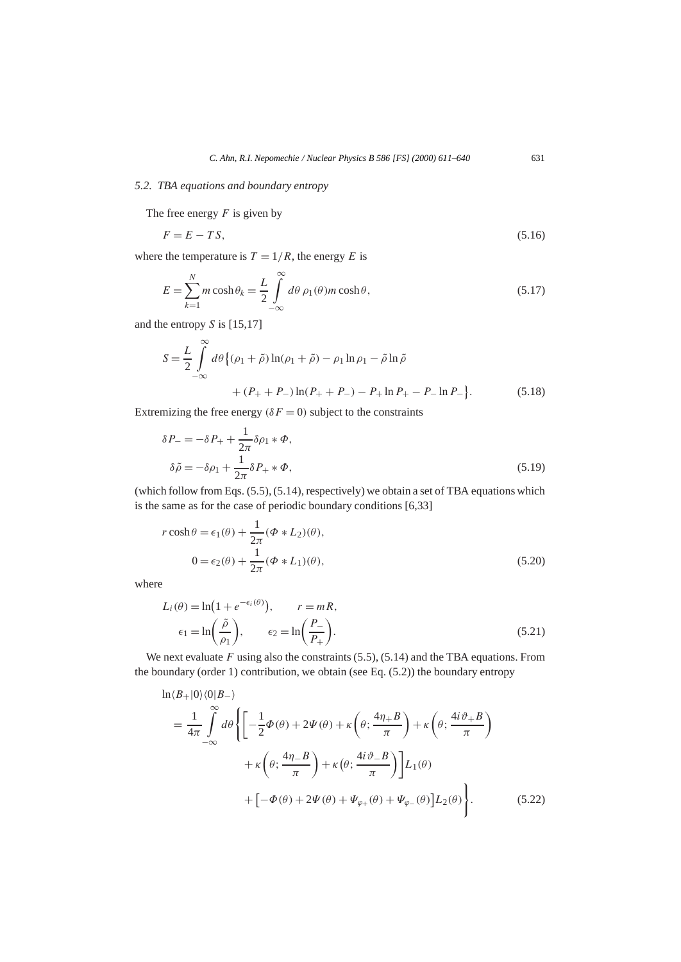#### *5.2. TBA equations and boundary entropy*

The free energy *F* is given by

$$
F = E - TS,\tag{5.16}
$$

where the temperature is  $T = 1/R$ , the energy *E* is

$$
E = \sum_{k=1}^{N} m \cosh \theta_k = \frac{L}{2} \int_{-\infty}^{\infty} d\theta \, \rho_1(\theta) m \cosh \theta,\tag{5.17}
$$

and the entropy *S* is [15,17]

$$
S = \frac{L}{2} \int_{-\infty}^{\infty} d\theta \{ (\rho_1 + \tilde{\rho}) \ln(\rho_1 + \tilde{\rho}) - \rho_1 \ln \rho_1 - \tilde{\rho} \ln \tilde{\rho} + (P_+ + P_-) \ln(P_+ + P_-) - P_+ \ln P_+ - P_- \ln P_- \}.
$$
 (5.18)

Extremizing the free energy  $(\delta F = 0)$  subject to the constraints

$$
\delta P_{-} = -\delta P_{+} + \frac{1}{2\pi} \delta \rho_{1} * \Phi,
$$
  
\n
$$
\delta \tilde{\rho} = -\delta \rho_{1} + \frac{1}{2\pi} \delta P_{+} * \Phi,
$$
\n(5.19)

(which follow from Eqs. (5.5), (5.14), respectively) we obtain a set of TBA equations which is the same as for the case of periodic boundary conditions [6,33]

$$
r \cosh \theta = \epsilon_1(\theta) + \frac{1}{2\pi} (\Phi * L_2)(\theta),
$$
  

$$
0 = \epsilon_2(\theta) + \frac{1}{2\pi} (\Phi * L_1)(\theta),
$$
 (5.20)

where

$$
L_i(\theta) = \ln\left(1 + e^{-\epsilon_i(\theta)}\right), \qquad r = mR,
$$
  

$$
\epsilon_1 = \ln\left(\frac{\tilde{\rho}}{\rho_1}\right), \qquad \epsilon_2 = \ln\left(\frac{P_-}{P_+}\right).
$$
 (5.21)

We next evaluate *F* using also the constraints (5.5), (5.14) and the TBA equations. From the boundary (order 1) contribution, we obtain (see Eq. (5.2)) the boundary entropy

$$
\ln \langle B_{+}|0\rangle\langle 0|B_{-}\rangle
$$
\n
$$
= \frac{1}{4\pi} \int_{-\infty}^{\infty} d\theta \left\{ \left[ -\frac{1}{2} \Phi(\theta) + 2\Psi(\theta) + \kappa \left( \theta; \frac{4\eta + B}{\pi} \right) + \kappa \left( \theta; \frac{4i\vartheta + B}{\pi} \right) \right. \right.
$$
\n
$$
+ \kappa \left( \theta; \frac{4\eta - B}{\pi} \right) + \kappa \left( \theta; \frac{4i\vartheta - B}{\pi} \right) \left[ L_{1}(\theta) \right.
$$
\n
$$
+ \left[ -\Phi(\theta) + 2\Psi(\theta) + \Psi_{\varphi_{+}}(\theta) + \Psi_{\varphi_{-}}(\theta) \right] L_{2}(\theta) \right\}.
$$
\n(5.22)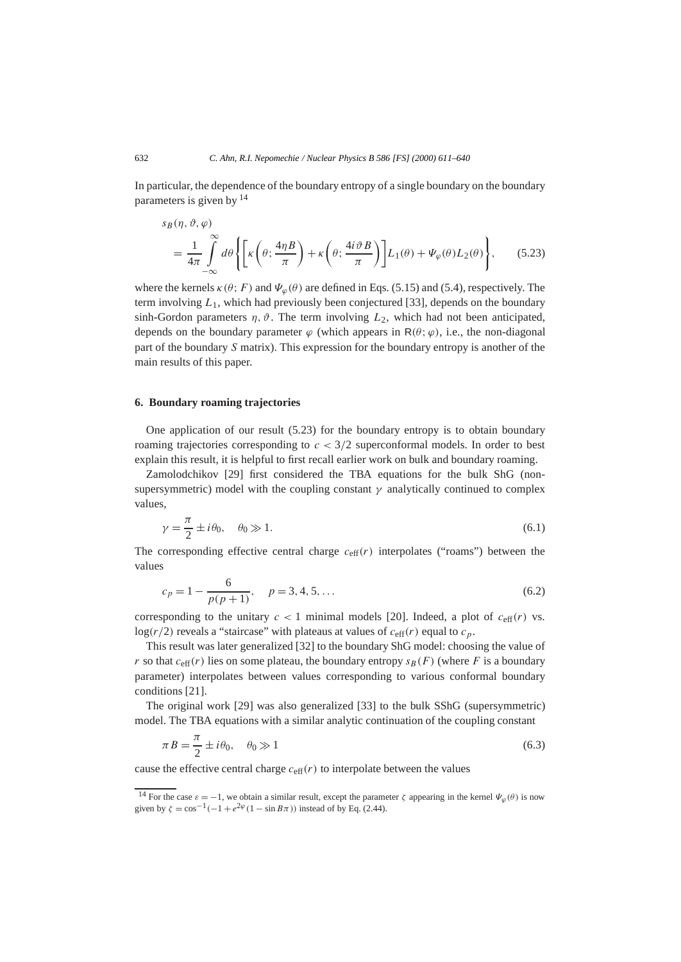In particular, the dependence of the boundary entropy of a single boundary on the boundary parameters is given by <sup>14</sup>

$$
s_B(\eta, \vartheta, \varphi)
$$
  
=  $\frac{1}{4\pi} \int_{-\infty}^{\infty} d\theta \left\{ \left[ \kappa \left( \theta; \frac{4\eta B}{\pi} \right) + \kappa \left( \theta; \frac{4i \vartheta B}{\pi} \right) \right] L_1(\theta) + \Psi_{\varphi}(\theta) L_2(\theta) \right\},$  (5.23)

where the kernels  $\kappa(\theta; F)$  and  $\Psi_{\varphi}(\theta)$  are defined in Eqs. (5.15) and (5.4), respectively. The term involving *L*1, which had previously been conjectured [33], depends on the boundary sinh-Gordon parameters  $\eta$ ,  $\vartheta$ . The term involving  $L_2$ , which had not been anticipated, depends on the boundary parameter  $\varphi$  (which appears in  $R(\theta; \varphi)$ , i.e., the non-diagonal part of the boundary *S* matrix). This expression for the boundary entropy is another of the main results of this paper.

## **6. Boundary roaming trajectories**

One application of our result (5.23) for the boundary entropy is to obtain boundary roaming trajectories corresponding to  $c < 3/2$  superconformal models. In order to best explain this result, it is helpful to first recall earlier work on bulk and boundary roaming.

Zamolodchikov [29] first considered the TBA equations for the bulk ShG (nonsupersymmetric) model with the coupling constant  $\gamma$  analytically continued to complex values,

$$
\gamma = \frac{\pi}{2} \pm i\theta_0, \quad \theta_0 \gg 1. \tag{6.1}
$$

The corresponding effective central charge  $c_{\text{eff}}(r)$  interpolates ("roams") between the values

$$
c_p = 1 - \frac{6}{p(p+1)}, \quad p = 3, 4, 5, \dots
$$
\n(6.2)

corresponding to the unitary  $c < 1$  minimal models [20]. Indeed, a plot of  $c_{\text{eff}}(r)$  vs. log( $r/2$ ) reveals a "staircase" with plateaus at values of  $c_{\text{eff}}(r)$  equal to  $c_p$ .

This result was later generalized [32] to the boundary ShG model: choosing the value of *r* so that  $c_{\text{eff}}(r)$  lies on some plateau, the boundary entropy  $s_B(F)$  (where *F* is a boundary parameter) interpolates between values corresponding to various conformal boundary conditions [21].

The original work [29] was also generalized [33] to the bulk SShG (supersymmetric) model. The TBA equations with a similar analytic continuation of the coupling constant

$$
\pi B = \frac{\pi}{2} \pm i\theta_0, \quad \theta_0 \gg 1 \tag{6.3}
$$

cause the effective central charge  $c_{\text{eff}}(r)$  to interpolate between the values

<sup>&</sup>lt;sup>14</sup> For the case  $\varepsilon = -1$ , we obtain a similar result, except the parameter  $\zeta$  appearing in the kernel  $\Psi_{\varphi}(\theta)$  is now given by  $\zeta = \cos^{-1}(-1 + e^{2\varphi}(1 - \sin B\pi))$  instead of by Eq. (2.44).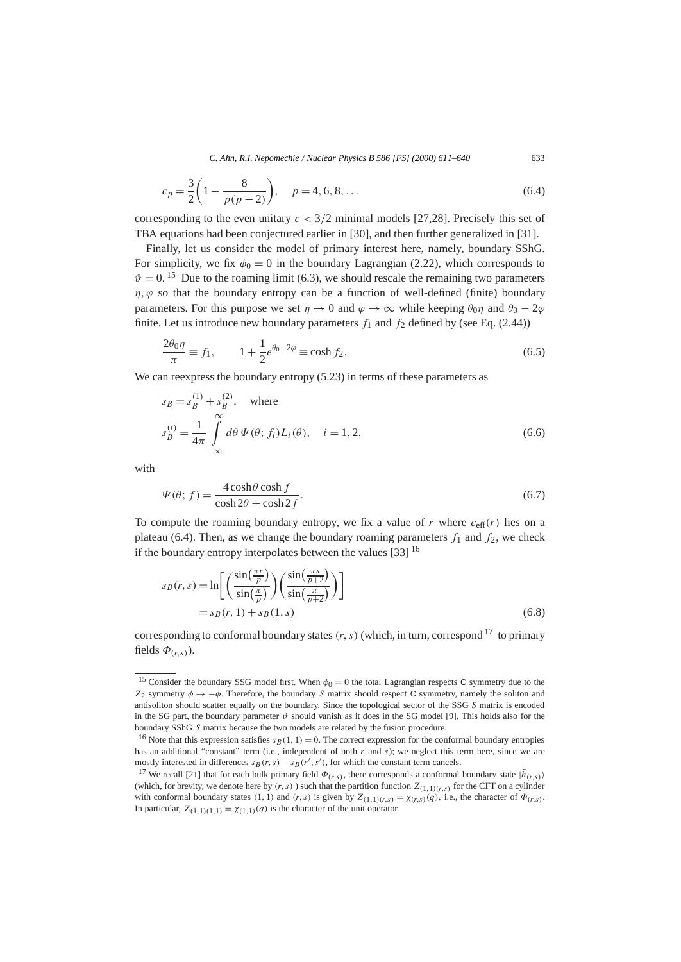$$
c_p = \frac{3}{2} \left( 1 - \frac{8}{p(p+2)} \right), \quad p = 4, 6, 8, \dots
$$
\n(6.4)

corresponding to the even unitary  $c < 3/2$  minimal models [27,28]. Precisely this set of TBA equations had been conjectured earlier in [30], and then further generalized in [31].

Finally, let us consider the model of primary interest here, namely, boundary SShG. For simplicity, we fix  $\phi_0 = 0$  in the boundary Lagrangian (2.22), which corresponds to  $\vartheta = 0$ .<sup>15</sup> Due to the roaming limit (6.3), we should rescale the remaining two parameters  $\eta$ ,  $\varphi$  so that the boundary entropy can be a function of well-defined (finite) boundary parameters. For this purpose we set  $\eta \to 0$  and  $\varphi \to \infty$  while keeping  $\theta_0 \eta$  and  $\theta_0 - 2\varphi$ finite. Let us introduce new boundary parameters  $f_1$  and  $f_2$  defined by (see Eq. (2.44))

$$
\frac{2\theta_0 \eta}{\pi} \equiv f_1, \qquad 1 + \frac{1}{2} e^{\theta_0 - 2\varphi} \equiv \cosh f_2. \tag{6.5}
$$

We can reexpress the boundary entropy (5.23) in terms of these parameters as

$$
s_B = s_B^{(1)} + s_B^{(2)}, \text{ where}
$$
  
\n
$$
s_B^{(i)} = \frac{1}{4\pi} \int_{-\infty}^{\infty} d\theta \, \Psi(\theta; f_i) L_i(\theta), \quad i = 1, 2,
$$
\n(6.6)

with

$$
\Psi(\theta; f) = \frac{4\cosh\theta\cosh f}{\cosh 2\theta + \cosh 2f}.\tag{6.7}
$$

To compute the roaming boundary entropy, we fix a value of  $r$  where  $c_{\text{eff}}(r)$  lies on a plateau (6.4). Then, as we change the boundary roaming parameters  $f_1$  and  $f_2$ , we check if the boundary entropy interpolates between the values [33]  $16$ 

$$
s_B(r,s) = \ln\left[\left(\frac{\sin\left(\frac{\pi r}{p}\right)}{\sin\left(\frac{\pi}{p}\right)}\right)\left(\frac{\sin\left(\frac{\pi s}{p+2}\right)}{\sin\left(\frac{\pi}{p+2}\right)}\right)\right]
$$
  
=  $s_B(r, 1) + s_B(1, s)$  (6.8)

corresponding to conformal boundary states  $(r, s)$  (which, in turn, correspond <sup>17</sup> to primary fields  $\Phi_{(r,s)}$ ).

<sup>&</sup>lt;sup>15</sup> Consider the boundary SSG model first. When  $\phi_0 = 0$  the total Lagrangian respects C symmetry due to the *Z*<sub>2</sub> symmetry  $\phi \rightarrow -\phi$ . Therefore, the boundary *S* matrix should respect C symmetry, namely the soliton and antisoliton should scatter equally on the boundary. Since the topological sector of the SSG *S* matrix is encoded in the SG part, the boundary parameter  $\vartheta$  should vanish as it does in the SG model [9]. This holds also for the boundary SShG *S* matrix because the two models are related by the fusion procedure.

<sup>&</sup>lt;sup>16</sup> Note that this expression satisfies  $s_B(1, 1) = 0$ . The correct expression for the conformal boundary entropies has an additional "constant" term (i.e., independent of both *r* and *s*); we neglect this term here, since we are mostly interested in differences  $s_B(r, s) - s_B(r', s')$ , for which the constant term cancels.

<sup>&</sup>lt;sup>17</sup> We recall [21] that for each bulk primary field  $\Phi_{(r,s)}$ , there corresponds a conformal boundary state  $|\tilde{h}_{(r,s)}\rangle$ (which, for brevity, we denote here by  $(r, s)$ ) such that the partition function  $Z_{(1,1)(r,s)}$  for the CFT on a cylinder with conformal boundary states (1, 1) and  $(r, s)$  is given by  $Z_{(1,1)(r,s)} = \chi_{(r,s)}(q)$ , i.e., the character of  $\Phi_{(r,s)}$ . In particular,  $Z_{(1,1)(1,1)} = \chi_{(1,1)}(q)$  is the character of the unit operator.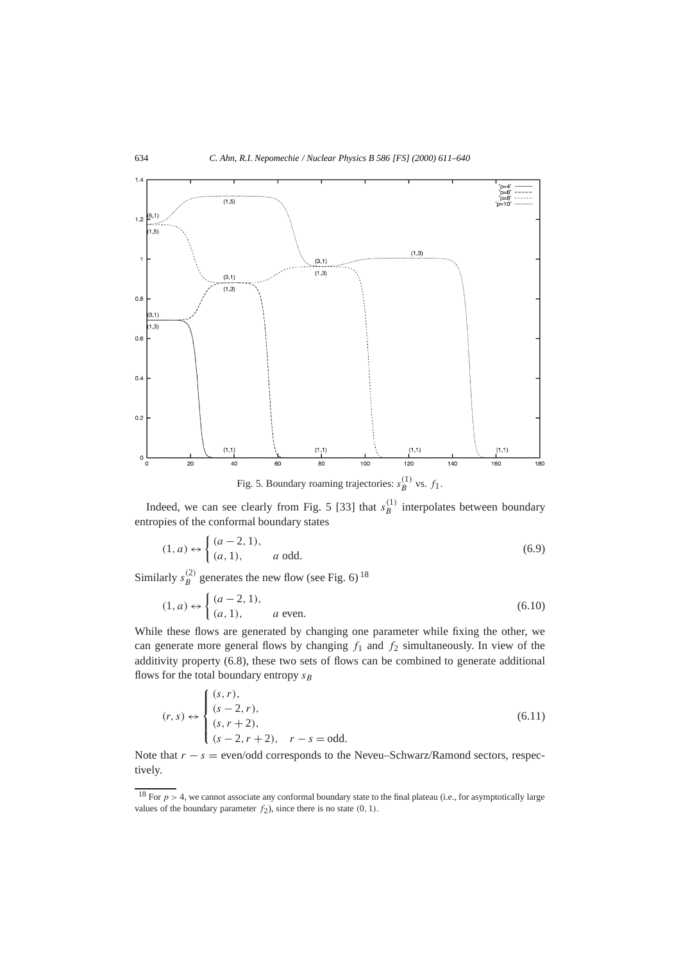

Fig. 5. Boundary roaming trajectories:  $s_B^{(1)}$  vs.  $f_1$ .

Indeed, we can see clearly from Fig. 5 [33] that  $s_B^{(1)}$  interpolates between boundary entropies of the conformal boundary states

$$
(1, a) \leftrightarrow \begin{cases} (a-2, 1), \\ (a, 1), \end{cases} \qquad a \text{ odd.}
$$
 (6.9)

Similarly  $s_B^{(2)}$  generates the new flow (see Fig. 6)<sup>18</sup>

$$
(1, a) \leftrightarrow \begin{cases} (a - 2, 1), \\ (a, 1), \end{cases} \quad a \text{ even.}
$$
 (6.10)

While these flows are generated by changing one parameter while fixing the other, we can generate more general flows by changing  $f_1$  and  $f_2$  simultaneously. In view of the additivity property (6.8), these two sets of flows can be combined to generate additional flows for the total boundary entropy  $s_B$ 

$$
(r,s) \leftrightarrow \begin{cases} (s,r), \\ (s-2,r), \\ (s,r+2), \\ (s-2,r+2), & r-s = \text{odd.} \end{cases}
$$
 (6.11)

Note that  $r - s =$  even/odd corresponds to the Neveu–Schwarz/Ramond sectors, respectively.

<sup>&</sup>lt;sup>18</sup> For  $p > 4$ , we cannot associate any conformal boundary state to the final plateau (i.e., for asymptotically large values of the boundary parameter  $f_2$ ), since there is no state  $(0, 1)$ .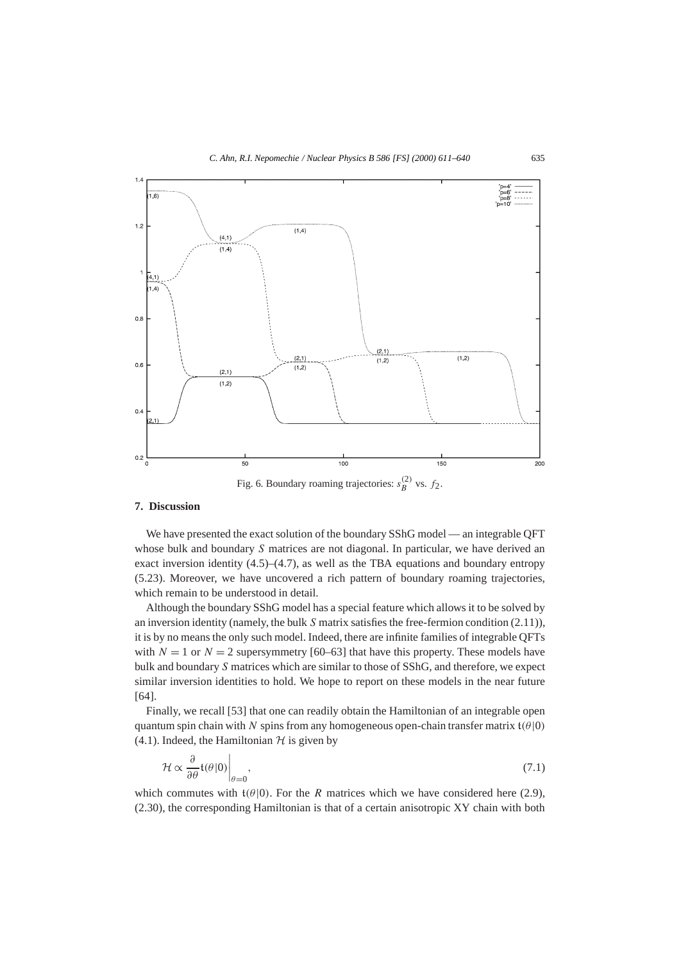

#### **7. Discussion**

We have presented the exact solution of the boundary SShG model — an integrable QFT whose bulk and boundary *S* matrices are not diagonal. In particular, we have derived an exact inversion identity  $(4.5)$ – $(4.7)$ , as well as the TBA equations and boundary entropy (5.23). Moreover, we have uncovered a rich pattern of boundary roaming trajectories, which remain to be understood in detail.

Although the boundary SShG model has a special feature which allows it to be solved by an inversion identity (namely, the bulk *S* matrix satisfies the free-fermion condition (2.11)), it is by no means the only such model. Indeed, there are infinite families of integrable QFTs with  $N = 1$  or  $N = 2$  supersymmetry [60–63] that have this property. These models have bulk and boundary *S* matrices which are similar to those of SShG, and therefore, we expect similar inversion identities to hold. We hope to report on these models in the near future [64].

Finally, we recall [53] that one can readily obtain the Hamiltonian of an integrable open quantum spin chain with *N* spins from any homogeneous open-chain transfer matrix t*(θ*|0*)* (4.1). Indeed, the Hamiltonian  $H$  is given by

$$
\mathcal{H} \propto \frac{\partial}{\partial \theta} \mathfrak{t}(\theta | 0) \bigg|_{\theta=0},\tag{7.1}
$$

which commutes with  $t(\theta|0)$ . For the *R* matrices which we have considered here (2.9), (2.30), the corresponding Hamiltonian is that of a certain anisotropic XY chain with both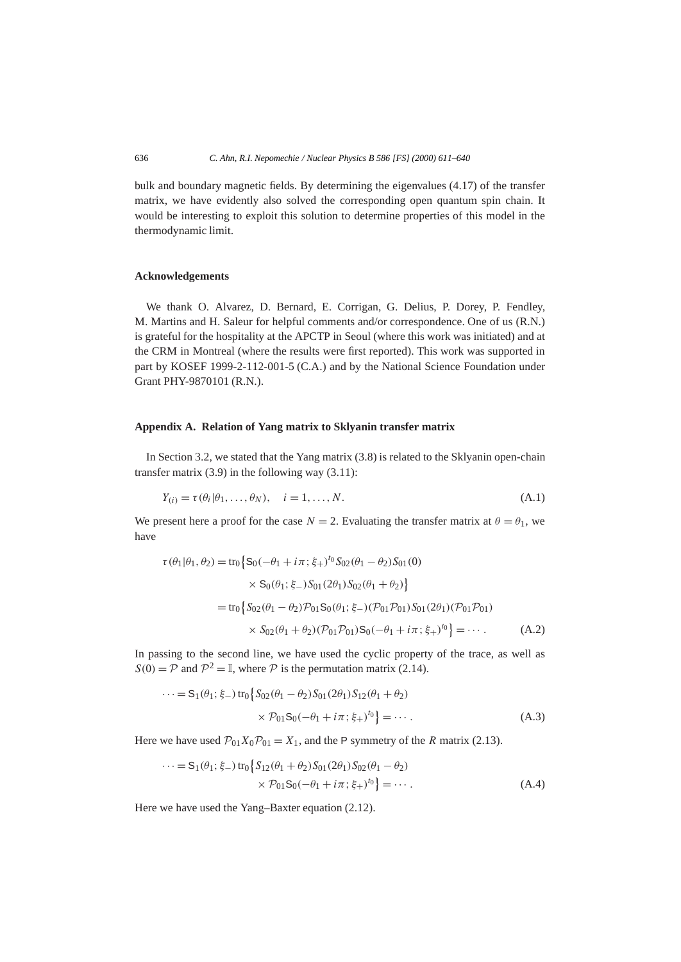bulk and boundary magnetic fields. By determining the eigenvalues (4.17) of the transfer matrix, we have evidently also solved the corresponding open quantum spin chain. It would be interesting to exploit this solution to determine properties of this model in the thermodynamic limit.

# **Acknowledgements**

We thank O. Alvarez, D. Bernard, E. Corrigan, G. Delius, P. Dorey, P. Fendley, M. Martins and H. Saleur for helpful comments and/or correspondence. One of us (R.N.) is grateful for the hospitality at the APCTP in Seoul (where this work was initiated) and at the CRM in Montreal (where the results were first reported). This work was supported in part by KOSEF 1999-2-112-001-5 (C.A.) and by the National Science Foundation under Grant PHY-9870101 (R.N.).

## **Appendix A. Relation of Yang matrix to Sklyanin transfer matrix**

In Section 3.2, we stated that the Yang matrix (3.8) is related to the Sklyanin open-chain transfer matrix  $(3.9)$  in the following way  $(3.11)$ :

$$
Y_{(i)} = \tau(\theta_i | \theta_1, \dots, \theta_N), \quad i = 1, \dots, N. \tag{A.1}
$$

We present here a proof for the case  $N = 2$ . Evaluating the transfer matrix at  $\theta = \theta_1$ , we have

$$
\tau(\theta_1|\theta_1, \theta_2) = \text{tr}_0 \Big\{ S_0(-\theta_1 + i\pi; \xi_+)^{t_0} S_{02}(\theta_1 - \theta_2) S_{01}(0) \Big\} \times S_0(\theta_1; \xi_-) S_{01}(2\theta_1) S_{02}(\theta_1 + \theta_2) \Big\} = \text{tr}_0 \Big\{ S_{02}(\theta_1 - \theta_2) \mathcal{P}_{01} S_0(\theta_1; \xi_-) (\mathcal{P}_{01} \mathcal{P}_{01}) S_{01}(2\theta_1) (\mathcal{P}_{01} \mathcal{P}_{01}) \times S_{02}(\theta_1 + \theta_2) (\mathcal{P}_{01} \mathcal{P}_{01}) S_0(-\theta_1 + i\pi; \xi_+)^{t_0} \Big\} = \cdots
$$
 (A.2)

In passing to the second line, we have used the cyclic property of the trace, as well as  $S(0) = P$  and  $P^2 = \mathbb{I}$ , where P is the permutation matrix (2.14).

$$
\cdots = S_1(\theta_1; \xi_-) \operatorname{tr}_0 \{ S_{02}(\theta_1 - \theta_2) S_{01}(2\theta_1) S_{12}(\theta_1 + \theta_2) \times \mathcal{P}_{01} S_0(-\theta_1 + i\pi; \xi_+)^{t_0} \} = \cdots
$$
 (A.3)

Here we have used  $P_{01}X_0P_{01} = X_1$ , and the P symmetry of the *R* matrix (2.13).

$$
\cdots = S_1(\theta_1; \xi_-) \operatorname{tr}_0 \{ S_{12}(\theta_1 + \theta_2) S_{01}(2\theta_1) S_{02}(\theta_1 - \theta_2) \times \mathcal{P}_{01} S_0(-\theta_1 + i\pi; \xi_+)^{t_0} \} = \cdots
$$
\n(A.4)

Here we have used the Yang–Baxter equation (2.12).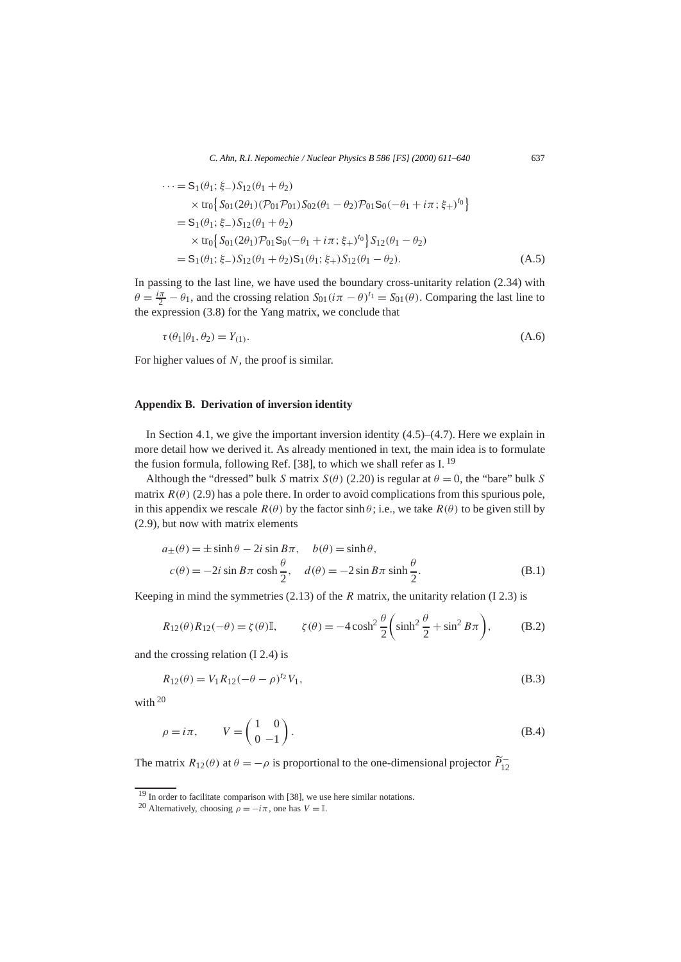$$
\cdots = S_1(\theta_1; \xi_-) S_{12}(\theta_1 + \theta_2)
$$
  
\n
$$
\times \text{tr}_0 \{ S_{01}(2\theta_1) (\mathcal{P}_{01} \mathcal{P}_{01}) S_{02}(\theta_1 - \theta_2) \mathcal{P}_{01} S_0 (-\theta_1 + i\pi; \xi_+)^{t_0} \}
$$
  
\n
$$
= S_1(\theta_1; \xi_-) S_{12}(\theta_1 + \theta_2)
$$
  
\n
$$
\times \text{tr}_0 \{ S_{01}(2\theta_1) \mathcal{P}_{01} S_0 (-\theta_1 + i\pi; \xi_+)^{t_0} \} S_{12}(\theta_1 - \theta_2)
$$
  
\n
$$
= S_1(\theta_1; \xi_-) S_{12}(\theta_1 + \theta_2) S_1(\theta_1; \xi_+) S_{12}(\theta_1 - \theta_2).
$$
 (A.5)

In passing to the last line, we have used the boundary cross-unitarity relation (2.34) with  $\theta = \frac{i\pi}{2} - \theta_1$ , and the crossing relation  $S_{01}(i\pi - \theta)^{t_1} = S_{01}(\theta)$ . Comparing the last line to the expression (3.8) for the Yang matrix, we conclude that

$$
\tau(\theta_1|\theta_1, \theta_2) = Y_{(1)}.\tag{A.6}
$$

For higher values of *N*, the proof is similar.

## **Appendix B. Derivation of inversion identity**

In Section 4.1, we give the important inversion identity  $(4.5)$ – $(4.7)$ . Here we explain in more detail how we derived it. As already mentioned in text, the main idea is to formulate the fusion formula, following Ref. [38], to which we shall refer as I.<sup>19</sup>

Although the "dressed" bulk *S* matrix  $S(\theta)$  (2.20) is regular at  $\theta = 0$ , the "bare" bulk *S* matrix  $R(\theta)$  (2.9) has a pole there. In order to avoid complications from this spurious pole, in this appendix we rescale  $R(\theta)$  by the factor sinh  $\theta$ ; i.e., we take  $R(\theta)$  to be given still by (2.9), but now with matrix elements

$$
a_{\pm}(\theta) = \pm \sinh \theta - 2i \sin B\pi, \quad b(\theta) = \sinh \theta,
$$
  

$$
c(\theta) = -2i \sin B\pi \cosh \frac{\theta}{2}, \quad d(\theta) = -2 \sin B\pi \sinh \frac{\theta}{2}.
$$
 (B.1)

Keeping in mind the symmetries (2.13) of the *R* matrix, the unitarity relation (I 2.3) is

$$
R_{12}(\theta)R_{12}(-\theta) = \zeta(\theta)\mathbb{I}, \qquad \zeta(\theta) = -4\cosh^2\frac{\theta}{2}\left(\sinh^2\frac{\theta}{2} + \sin^2 B\pi\right), \tag{B.2}
$$

and the crossing relation (I 2.4) is

$$
R_{12}(\theta) = V_1 R_{12} (-\theta - \rho)^{t_2} V_1,
$$
\n(B.3)

with 20

$$
\rho = i\pi, \qquad V = \begin{pmatrix} 1 & 0 \\ 0 & -1 \end{pmatrix}.
$$
 (B.4)

The matrix  $R_{12}(\theta)$  at  $\theta = -\rho$  is proportional to the one-dimensional projector  $\tilde{P}_{12}^-$ 

 $19$  In order to facilitate comparison with [38], we use here similar notations.

<sup>&</sup>lt;sup>20</sup> Alternatively, choosing  $\rho = -i\pi$ , one has  $V = \mathbb{I}$ .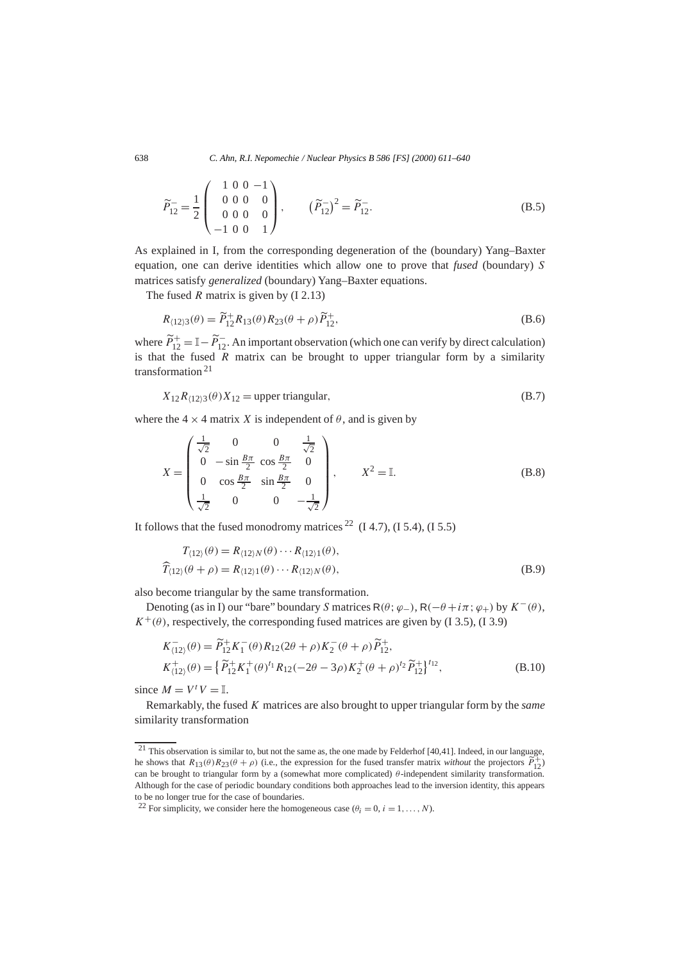$$
\widetilde{P}_{12}^{-} = \frac{1}{2} \begin{pmatrix} 1 & 0 & 0 & -1 \\ 0 & 0 & 0 & 0 \\ 0 & 0 & 0 & 0 \\ -1 & 0 & 0 & 1 \end{pmatrix}, \qquad (\widetilde{P}_{12}^{-})^{2} = \widetilde{P}_{12}^{-}.
$$
 (B.5)

As explained in I, from the corresponding degeneration of the (boundary) Yang–Baxter equation, one can derive identities which allow one to prove that *fused* (boundary) *S* matrices satisfy *generalized* (boundary) Yang–Baxter equations.

The fused *R* matrix is given by (I 2.13)

$$
R_{\langle 12\rangle 3}(\theta) = \widetilde{P}_{12}^+ R_{13}(\theta) R_{23}(\theta + \rho) \widetilde{P}_{12}^+, \tag{B.6}
$$

where  $\widetilde{P}_{12}^+ = \mathbb{I} - \widetilde{P}_{12}^-$ . An important observation (which one can verify by direct calculation) is that the fused  $\overline{R}$  matrix can be brought to upper triangular form by a similarity transformation <sup>21</sup>

$$
X_{12}R_{(12)3}(\theta)X_{12} = \text{upper triangular},\tag{B.7}
$$

where the  $4 \times 4$  matrix *X* is independent of  $\theta$ , and is given by

$$
X = \begin{pmatrix} \frac{1}{\sqrt{2}} & 0 & 0 & \frac{1}{\sqrt{2}} \\ 0 & -\sin\frac{B\pi}{2} & \cos\frac{B\pi}{2} & 0 \\ 0 & \cos\frac{B\pi}{2} & \sin\frac{B\pi}{2} & 0 \\ \frac{1}{\sqrt{2}} & 0 & 0 & -\frac{1}{\sqrt{2}} \end{pmatrix}, \qquad X^2 = \mathbb{I}.
$$
 (B.8)

It follows that the fused monodromy matrices  $^{22}$  (I 4.7), (I 5.4), (I 5.5)

$$
T_{\langle 12\rangle}(\theta) = R_{\langle 12\rangle N}(\theta) \cdots R_{\langle 12\rangle 1}(\theta),
$$
  

$$
\widehat{T}_{\langle 12\rangle}(\theta + \rho) = R_{\langle 12\rangle 1}(\theta) \cdots R_{\langle 12\rangle N}(\theta),
$$
 (B.9)

also become triangular by the same transformation.

Denoting (as in I) our "bare" boundary *S* matrices  $R(\theta; \varphi_{-})$ ,  $R(-\theta + i\pi; \varphi_{+})$  by  $K^{-}(\theta)$ ,  $K^+(\theta)$ , respectively, the corresponding fused matrices are given by (I 3.5), (I 3.9)

$$
K_{(12)}^-(\theta) = \widetilde{P}_{12}^+ K_1^-(\theta) R_{12} (2\theta + \rho) K_2^-(\theta + \rho) \widetilde{P}_{12}^+,
$$
  
\n
$$
K_{(12)}^+(\theta) = \left\{ \widetilde{P}_{12}^+ K_1^+(\theta)^{t_1} R_{12} (-2\theta - 3\rho) K_2^+(\theta + \rho)^{t_2} \widetilde{P}_{12}^+ \right\}^{t_{12}},
$$
\n(B.10)

since  $M = V^t V = \mathbb{I}$ .

Remarkably, the fused *K* matrices are also brought to upper triangular form by the *same* similarity transformation

 $21$  This observation is similar to, but not the same as, the one made by Felderhof [40,41]. Indeed, in our language, he shows that  $R_{13}(\theta)R_{23}(\theta + \rho)$  (i.e., the expression for the fused transfer matrix *without* the projectors  $\tilde{P}_{12}^+$ ) can be brought to triangular form by a (somewhat more complicated) *θ*-independent similarity transformation. Although for the case of periodic boundary conditions both approaches lead to the inversion identity, this appears to be no longer true for the case of boundaries.

<sup>&</sup>lt;sup>22</sup> For simplicity, we consider here the homogeneous case  $(\theta_i = 0, i = 1, ..., N)$ .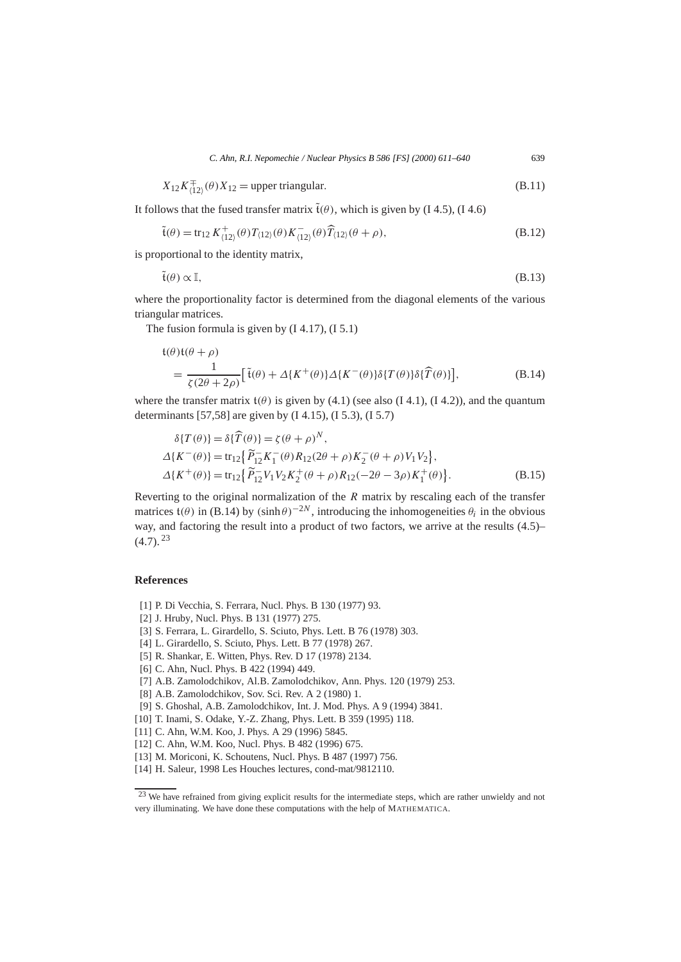$$
X_{12}K_{(12)}^{\pm}(\theta)X_{12} = \text{upper triangular.}
$$
\n(B.11)

It follows that the fused transfer matrix  $\tilde{t}(\theta)$ , which is given by (I 4.5), (I 4.6)

$$
\tilde{\mathfrak{t}}(\theta) = \text{tr}_{12} K_{\langle 12 \rangle}^+(\theta) T_{\langle 12 \rangle}(\theta) K_{\langle 12 \rangle}^-(\theta) \widehat{T}_{\langle 12 \rangle}(\theta + \rho),
$$
\n(B.12)

is proportional to the identity matrix,

$$
\tilde{\mathfrak{t}}(\theta) \propto \mathbb{I},\tag{B.13}
$$

where the proportionality factor is determined from the diagonal elements of the various triangular matrices.

The fusion formula is given by  $(14.17)$ ,  $(15.1)$ 

$$
\begin{split} \mathfrak{t}(\theta) \mathfrak{t}(\theta + \rho) \\ &= \frac{1}{\zeta(2\theta + 2\rho)} \big[ \tilde{\mathfrak{t}}(\theta) + \Delta \{K^+(\theta)\} \Delta \{K^-(\theta)\} \delta \{T(\theta)\} \delta \{\widehat{T}(\theta)\} \big], \end{split} \tag{B.14}
$$

where the transfer matrix  $t(\theta)$  is given by (4.1) (see also (I 4.1), (I 4.2)), and the quantum determinants [57,58] are given by (I 4.15), (I 5.3), (I 5.7)

$$
\delta\{T(\theta)\} = \delta\{\widehat{T}(\theta)\} = \zeta(\theta + \rho)^N, \Delta\{K^-(\theta)\} = \text{tr}_{12}\{\widetilde{P}_{12}K_1^-(\theta)R_{12}(2\theta + \rho)K_2^-(\theta + \rho)V_1V_2\}, \Delta\{K^+(\theta)\} = \text{tr}_{12}\{\widetilde{P}_{12}^-\overline{V}_1V_2K_2^+(\theta + \rho)R_{12}(-2\theta - 3\rho)K_1^+(\theta)\}.
$$
\n(B.15)

Reverting to the original normalization of the *R* matrix by rescaling each of the transfer matrices  $t(\theta)$  in (B.14) by  $(\sinh \theta)^{-2N}$ , introducing the inhomogeneities  $\theta_i$  in the obvious way, and factoring the result into a product of two factors, we arrive at the results (4.5)–  $(4.7)$ <sup>23</sup>

## **References**

- [1] P. Di Vecchia, S. Ferrara, Nucl. Phys. B 130 (1977) 93.
- [2] J. Hruby, Nucl. Phys. B 131 (1977) 275.
- [3] S. Ferrara, L. Girardello, S. Sciuto, Phys. Lett. B 76 (1978) 303.
- [4] L. Girardello, S. Sciuto, Phys. Lett. B 77 (1978) 267.
- [5] R. Shankar, E. Witten, Phys. Rev. D 17 (1978) 2134.
- [6] C. Ahn, Nucl. Phys. B 422 (1994) 449.
- [7] A.B. Zamolodchikov, Al.B. Zamolodchikov, Ann. Phys. 120 (1979) 253.
- [8] A.B. Zamolodchikov, Sov. Sci. Rev. A 2 (1980) 1.
- [9] S. Ghoshal, A.B. Zamolodchikov, Int. J. Mod. Phys. A 9 (1994) 3841.
- [10] T. Inami, S. Odake, Y.-Z. Zhang, Phys. Lett. B 359 (1995) 118.
- [11] C. Ahn, W.M. Koo, J. Phys. A 29 (1996) 5845.
- [12] C. Ahn, W.M. Koo, Nucl. Phys. B 482 (1996) 675.
- [13] M. Moriconi, K. Schoutens, Nucl. Phys. B 487 (1997) 756.
- [14] H. Saleur, 1998 Les Houches lectures, cond-mat/9812110.

<sup>&</sup>lt;sup>23</sup> We have refrained from giving explicit results for the intermediate steps, which are rather unwieldy and not very illuminating. We have done these computations with the help of MATHEMATICA.